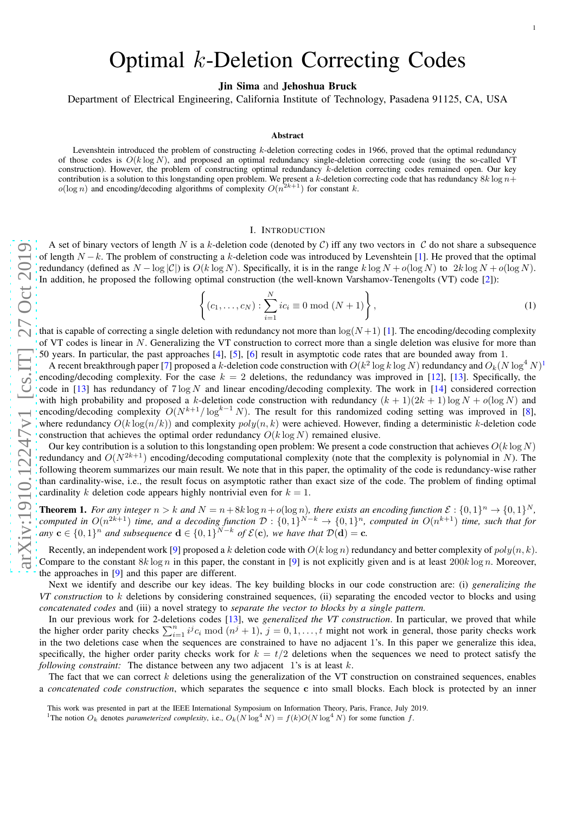# Optimal k-Deletion Correcting Codes

Jin Sima and Jehoshua Bruck

Department of Electrical Engineering, California Institute of Technology, Pasadena 91125, CA, USA

#### Abstract

Levenshtein introduced the problem of constructing  $k$ -deletion correcting codes in 1966, proved that the optimal redundancy of those codes is  $O(k \log N)$ , and proposed an optimal redundancy single-deletion correcting code (using the so-called VT construction). However, the problem of constructing optimal redundancy k-deletion correcting codes remained open. Our key contribution is a solution to this longstanding open problem. We present a k-deletion correcting code that has redundancy  $8k \log n +$  $o(\log n)$  and encoding/decoding algorithms of complexity  $O(n^{2k+1})$  for constant k.

#### I. INTRODUCTION

A set of binary vectors of length N is a k-deletion code (denoted by C) iff any two vectors in C do not share a subsequence of length  $N-k$ . The problem of constructing a k-deletion code was introduced by Levenshtein [[1\]](#page-11-0). He proved that the optimal redundancy (defined as  $N - \log |\mathcal{C}|$ ) is  $O(k \log N)$ . Specifically, it is in the range  $k \log N + o(\log N)$  to  $2k \log N + o(\log N)$ . In addition, he proposed the following optimal construction (the well-known Varshamov-Tenengolts (VT) code [ [2\]](#page-11-1)):

$$
\left\{ (c_1, ..., c_N) : \sum_{i=1}^{N} ic_i \equiv 0 \bmod (N+1) \right\},
$$
 (1)

that is capable of correcting a single deletion with redundancy not more than  $\log(N+1)$  [[1\]](#page-11-0). The encoding/decoding complexity of VT codes is linear in N. Generalizing the VT construction to correct more than a single deletion was elusive for more than 50 years. In particular, the past approaches [ [4\]](#page-11-2), [ [5\]](#page-11-3), [ [6\]](#page-11-4) result in asymptotic code rates that are bounded away from 1 .

A recent breakthrough paper [[7\]](#page-11-5) proposed a  $k$ -deletion code construction with  $O(k^2\log k\log N)$  redundancy and  $O_k(N\log^4 N)^1$  $O_k(N\log^4 N)^1$ encoding/decoding complexity. For the case  $k = 2$  deletions, the redundancy was improved in [\[12\]](#page-11-6), [\[13\]](#page-11-7). Specifically, the code in [\[13\]](#page-11-7) has redundancy of  $7 \log N$  and linear encoding/decoding complexity. The work in [\[14\]](#page-11-8) considered correction with high probability and proposed a k-deletion code construction with redundancy  $(k + 1)(2k + 1) \log N + o(\log N)$  and encoding/decoding complexity  $O(N^{k+1}/\log^{k-1} N)$ . The result for this randomized coding setting was improved in [[8\]](#page-11-9), where redundancy  $O(k \log(n/k))$  and complexity  $poly(n, k)$  were achieved. However, finding a deterministic k-deletion code construction that achieves the optimal order redundancy  $O(k \log N)$  remained elusive.

Our key contribution is a solution to this longstanding open problem: We present a code construction that achieves  $O(k \log N)$ redundancy and  $O(N^{2k+1})$  encoding/decoding computational complexity (note that the complexity is polynomial in N). The following theorem summarizes our main result. We note that in this paper, the optimality of the code is redundancy-wise rather than cardinality-wise, i.e., the result focus on asymptotic rather than exact size of the code. The problem of finding optimal cardinality k deletion code appears highly nontrivial even for  $k = 1$ .

<span id="page-0-1"></span>**Theorem 1.** For any integer  $n > k$  and  $N = n + 8k \log n + o(\log n)$ , there exists an encoding function  $\mathcal{E}: \{0,1\}^n \to \{0,1\}^N$ , computed in  $O(n^{2k+1})$  time, and a decoding function  $D: \{0,1\}^{N-k} \to \{0,1\}^n$ , computed in  $O(n^{k+1})$  time, such that for *any*  $\mathbf{c} \in \{0,1\}^n$  *and subsequence*  $\mathbf{d} \in \{0,1\}^{\bar{N}-k}$  *of*  $\mathcal{E}(\mathbf{c})$ *, we have that*  $\mathcal{D}(\mathbf{d}) = \mathbf{c}$ *.* 

Recently, an independent work [[9\]](#page-11-10) proposed a k deletion code with  $O(k \log n)$  redundancy and better complexity of  $poly(n, k)$ . Compare to the constant  $8k \log n$  in this paper, the constant in [[9\]](#page-11-10) is not explicitly given and is at least  $200k \log n$ . Moreover, the approaches in [ [9\]](#page-11-10) and this paper are different.

Next we identify and describe our key ideas. The key building blocks in our code construction are: (i) *generalizing the VT construction* to k deletions by considering constrained sequences, (ii) separating the encoded vector to blocks and using *concatenated codes* and (iii) a novel strategy to *separate the vector to blocks by a single pattern.*

In our previous work for 2-deletions codes [\[13\]](#page-11-7), we *generalized the VT construction*. In particular, we proved that while the higher order parity checks  $\sum_{i=1}^{n} i^j c_i \mod (n^j + 1)$ ,  $j = 0, 1, ..., t$  might not work in general, those parity checks work in the two deletions case when the sequences are constrained to have no adjacent 1's. In this paper we generalize this idea, specifically, the higher order parity checks work for  $k = t/2$  deletions when the sequences we need to protect satisfy the following constraint: The distance between any two adjacent 1's is at least k.

The fact that we can correct k deletions using the generalization of the VT construction on constrained sequences, enables a *concatenated code construction*, which separates the sequence c into small blocks. Each block is protected by an inner

This work was presented in part at the IEEE International Symposium on Information Theory, Paris, France, July 2019.

<span id="page-0-0"></span><sup>&</sup>lt;sup>1</sup>The notion  $O_k$  denotes *parameterized complexity*, i.e.,  $O_k(N \log^4 N) = f(k)O(N \log^4 N)$  for some function f.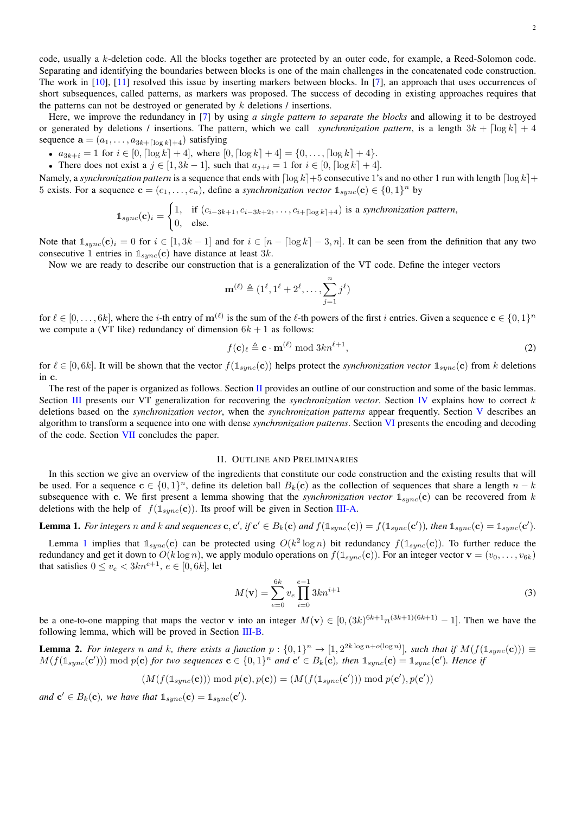code, usually a k-deletion code. All the blocks together are protected by an outer code, for example, a Reed-Solomon code. Separating and identifying the boundaries between blocks is one of the main challenges in the concatenated code construction. The work in  $[10]$ ,  $[11]$  resolved this issue by inserting markers between blocks. In [\[7\]](#page-11-5), an approach that uses occurrences of short subsequences, called patterns, as markers was proposed. The success of decoding in existing approaches requires that the patterns can not be destroyed or generated by  $k$  deletions  $\ell$  insertions.

Here, we improve the redundancy in [\[7\]](#page-11-5) by using *a single pattern to separate the blocks* and allowing it to be destroyed or generated by deletions / insertions. The pattern, which we call *synchronization pattern*, is a length  $3k + \lceil \log k \rceil + 4$ sequence  $\mathbf{a} = (a_1, \dots, a_{3k+[\log k]+4})$  satisfying

- $a_{3k+i} = 1$  for  $i \in [0, \lceil \log k \rceil + 4]$ , where  $[0, \lceil \log k \rceil + 4] = \{0, \ldots, \lceil \log k \rceil + 4\}.$
- There does not exist a  $j \in [1, 3k-1]$ , such that  $a_{j+i} = 1$  for  $i \in [0, \lceil \log k \rceil + 4]$ .

Namely, a *synchronization pattern* is a sequence that ends with  $\lceil \log k \rceil + 5$  consecutive 1's and no other 1 run with length  $\lceil \log k \rceil + 1$ 5 exists. For a sequence  $\mathbf{c} = (c_1, \ldots, c_n)$ , define a *synchronization vector*  $\mathbb{1}_{sync}(\mathbf{c}) \in \{0, 1\}^n$  by

$$
\mathbb{1}_{sync}(\mathbf{c})_i = \begin{cases} 1, & \text{if } (c_{i-3k+1}, c_{i-3k+2}, \dots, c_{i+\lceil \log k \rceil+4}) \text{ is a synchronization pattern,} \\ 0, & \text{else.} \end{cases}
$$

Note that  $\mathbb{1}_{sync}(\mathbf{c})_i = 0$  for  $i \in [1, 3k-1]$  and for  $i \in [n - \lceil \log k \rceil - 3, n]$ . It can be seen from the definition that any two consecutive 1 entries in  $\mathbb{1}_{\text{sync}}(c)$  have distance at least 3k.

Now we are ready to describe our construction that is a generalization of the VT code. Define the integer vectors

$$
\mathbf{m}^{(\ell)} \triangleq (1^{\ell}, 1^{\ell} + 2^{\ell}, \dots, \sum_{j=1}^{n} j^{\ell})
$$

for  $\ell \in [0,\ldots,6k]$ , where the *i*-th entry of  $\mathbf{m}^{(\ell)}$  is the sum of the  $\ell$ -th powers of the first *i* entries. Given a sequence  $\mathbf{c} \in \{0,1\}^n$ we compute a (VT like) redundancy of dimension  $6k + 1$  as follows:

$$
f(\mathbf{c})_{\ell} \triangleq \mathbf{c} \cdot \mathbf{m}^{(\ell)} \bmod 3kn^{\ell+1},\tag{2}
$$

for  $\ell \in [0, 6k]$ . It will be shown that the vector  $f(\mathbf{1}_{sync}(\mathbf{c}))$  helps protect the *synchronization vector*  $\mathbf{1}_{sync}(\mathbf{c})$  from k deletions in c.

The rest of the paper is organized as follows. Section [II](#page-1-0) provides an outline of our construction and some of the basic lemmas. Section [III](#page-2-0) presents our VT generalization for recovering the *synchronization vector*. Section [IV](#page-6-0) explains how to correct k deletions based on the *synchronization vector*, when the *synchronization patterns* appear frequently. Section [V](#page-7-0) describes an algorithm to transform a sequence into one with dense *synchronization patterns*. Section [VI](#page-10-0) presents the encoding and decoding of the code. Section [VII](#page-11-13) concludes the paper.

# II. OUTLINE AND PRELIMINARIES

<span id="page-1-0"></span>In this section we give an overview of the ingredients that constitute our code construction and the existing results that will be used. For a sequence  $c \in \{0,1\}^n$ , define its deletion ball  $B_k(c)$  as the collection of sequences that share a length  $n - k$ subsequence with c. We first present a lemma showing that the *synchronization vector*  $\mathbb{1}_{sync}$ (c) can be recovered from k deletions with the help of  $f(\mathbb{1}_{sync}(\mathbf{c}))$ . Its proof will be given in Section [III-A.](#page-6-1)

<span id="page-1-1"></span>**Lemma 1.** For integers n and k and sequences **c**, **c'**, if **c'**  $\in B_k(\mathbf{c})$  and  $f(\mathbb{1}_{sync}(\mathbf{c})) = f(\mathbb{1}_{sync}(\mathbf{c}'))$ , then  $\mathbb{1}_{sync}(\mathbf{c}) = \mathbb{1}_{sync}(\mathbf{c}')$ .

Lemma [1](#page-1-1) implies that  $\mathbb{1}_{sync}(\mathbf{c})$  can be protected using  $O(k^2 \log n)$  bit redundancy  $f(\mathbb{1}_{sync}(\mathbf{c}))$ . To further reduce the redundancy and get it down to  $O(k \log n)$ , we apply modulo operations on  $f(\mathbb{1}_{sync}(\mathbf{c}))$ . For an integer vector  $\mathbf{v} = (v_0, \dots, v_{6k})$ that satisfies  $0 \le v_e < 3kn^{e+1}$ ,  $e \in [0, 6k]$ , let

<span id="page-1-3"></span>
$$
M(\mathbf{v}) = \sum_{e=0}^{6k} v_e \prod_{i=0}^{e-1} 3kn^{i+1}
$$
 (3)

be a one-to-one mapping that maps the vector v into an integer  $M(\mathbf{v}) \in [0, (3k)^{6k+1}n^{(3k+1)(6k+1)} - 1]$ . Then we have the following lemma, which will be proved in Section [III-B.](#page-6-2)

<span id="page-1-2"></span>**Lemma 2.** For integers n and k, there exists a function  $p:\{0,1\}^n \to [1,2^{2k \log n + o(\log n)}]$ , such that if  $M(f(\mathbb{1}_{sync}(\mathbf{c}))) \equiv$  $M(f(\mathbb{1}_{sync}(\mathbf{c}'))) \bmod p(\mathbf{c})$  for two sequences  $\mathbf{c} \in \{0,1\}^n$  and  $\mathbf{c}' \in B_k(\mathbf{c})$ , then  $\mathbb{1}_{sync}(\mathbf{c}) = \mathbb{1}_{sync}(\mathbf{c}')$ . Hence if

$$
(M(f(\mathbb{1}_{sync}(\mathbf{c})))\bmod p(\mathbf{c}), p(\mathbf{c})) = (M(f(\mathbb{1}_{sync}(\mathbf{c}')))\bmod p(\mathbf{c}'), p(\mathbf{c}'))
$$

and  $\mathbf{c}' \in B_k(\mathbf{c})$ , we have that  $\mathbb{1}_{sync}(\mathbf{c}) = \mathbb{1}_{sync}(\mathbf{c}')$ .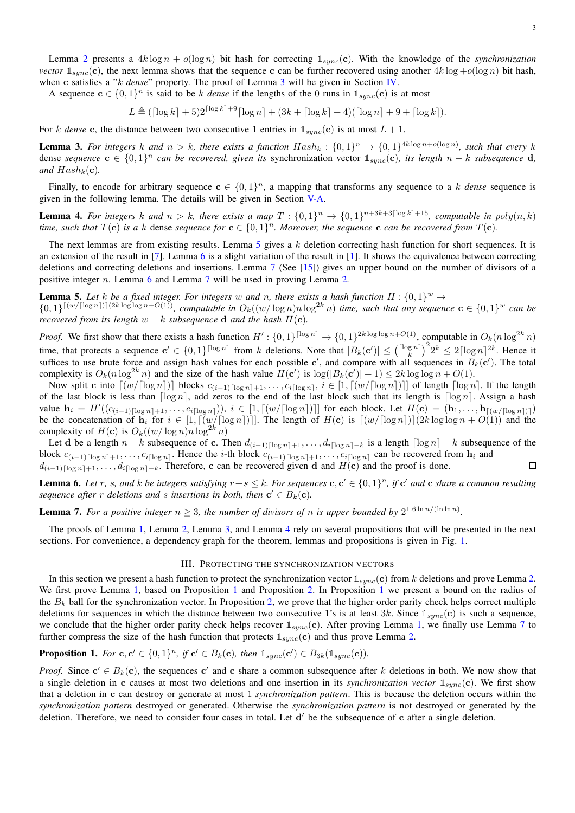Lemma [2](#page-1-2) presents a  $4k \log n + o(\log n)$  bit hash for correcting  $\mathbb{1}_{sync}(\mathbf{c})$ . With the knowledge of the *synchronization vector*  $\mathbb{1}_{\text{sum}}(c)$ , the next lemma shows that the sequence c can be further recovered using another  $4k \log + o(\log n)$  bit hash, when c satisfies a "k *dense*" property. The proof of Lemma [3](#page-2-1) will be given in Section [IV.](#page-6-0)

A sequence  $c \in \{0,1\}^n$  is said to be k *dense* if the lengths of the 0 runs in  $\mathbb{1}_{sync}(c)$  is at most

 $L \triangleq (\lceil \log k \rceil + 5)2^{\lceil \log k \rceil + 9} \lceil \log n \rceil + (3k + \lceil \log k \rceil + 4) (\lceil \log n \rceil + 9 + \lceil \log k \rceil).$ 

For k dense c, the distance between two consecutive 1 entries in  $\mathbb{1}_{\text{sumc}}(c)$  is at most  $L + 1$ .

<span id="page-2-1"></span>**Lemma 3.** For integers k and  $n > k$ , there exists a function  $Hash_k: \{0,1\}^n \to \{0,1\}^{4k \log n + o(\log n)}$ , such that every k dense *sequence*  $c \in \{0,1\}^n$  *can be recovered, given its* synchronization vector  $\mathbb{1}_{sync}(c)$ *, its length*  $n - k$  *subsequence* **d**, *and*  $Hash_k(c)$ *.* 

Finally, to encode for arbitrary sequence  $c \in \{0,1\}^n$ , a mapping that transforms any sequence to a k *dense* sequence is given in the following lemma. The details will be given in Section [V-A.](#page-9-0)

<span id="page-2-5"></span>**Lemma 4.** For integers k and  $n > k$ , there exists a map  $T : \{0,1\}^n \to \{0,1\}^{n+3k+3\lceil \log k \rceil+15}$ , computable in  $poly(n, k)$ *time, such that*  $T(c)$  *is a* k dense *sequence* for  $c \in \{0,1\}^n$ . Moreover, the *sequence* **c** *can be recovered from*  $T(c)$ *.* 

The next lemmas are from existing results. Lemma [5](#page-2-2) gives a  $k$  deletion correcting hash function for short sequences. It is an extension of the result in [\[7\]](#page-11-5). Lemma [6](#page-2-3) is a slight variation of the result in [\[1\]](#page-11-0). It shows the equivalence between correcting deletions and correcting deletions and insertions. Lemma [7](#page-2-4) (See [\[15\]](#page-11-14)) gives an upper bound on the number of divisors of a positive integer n. Lemma [6](#page-2-3) and Lemma [7](#page-2-4) will be used in proving Lemma [2.](#page-1-2)

# <span id="page-2-2"></span>**Lemma 5.** Let k be a fixed integer. For integers w and n, there exists a hash function  $H: \{0,1\}^w \to$

 $\{0,1\}^{\lceil (w/\lceil \log n \rceil) \rceil (2k \log \log n + O(1))}$ , computable in  $O_k((w/\log n)n \log^{2k} n)$  time, such that any sequence  $\mathbf{c} \in \{0,1\}^w$  can be *recovered from its length*  $w - k$  *subsequence* **d** *and the hash*  $H(c)$ *.* 

*Proof.* We first show that there exists a hash function  $H': \{0,1\}^{\lceil \log n \rceil} \to \{0,1\}^{2k \log \log n + O(1)}$ , computable in  $O_k(n \log^{2k} n)$ time, that protects a sequence  $\mathbf{c}' \in \{0,1\}^{\lceil \log n \rceil}$  from k deletions. Note that  $|B_k(\mathbf{c}')| \leq {\lceil \log n \rceil}^2 k \leq 2 \lceil \log n \rceil^{2k}$ . Hence it suffices to use brute force and assign hash values for each possible  $c'$ , and compare with all sequences in  $B_k(c')$ . The total complexity is  $O_k(n \log^{2k} n)$  and the size of the hash value  $H(c')$  is  $\log(|B_k(c')| + 1) \leq 2k \log \log n + O(1)$ .

Now split c into  $\lceil (w/[\log n]) \rceil$  blocks  $c_{(i-1)\lceil \log n \rceil+1}, \ldots, c_{i\lceil \log n \rceil}, i \in [1, \lceil (w/[\log n] \rceil)]$  of length  $\lceil \log n \rceil$ . If the length of the last block is less than  $\lceil \log n \rceil$ , add zeros to the end of the last block such that its length is  $\lceil \log n \rceil$ . Assign a hash value  $\mathbf{h}_i = H'((c_{(i-1)\lceil \log n \rceil + 1}, \ldots, c_{i\lceil \log n \rceil}))$ ,  $i \in [1, \lceil (w/\lceil \log n \rceil) \rceil]$  for each block. Let  $H(\mathbf{c}) = (\mathbf{h}_1, \ldots, \mathbf{h}_{\lceil (w/\lceil \log n \rceil) \rceil})$ be the concatenation of  $\mathbf{h}_i$  for  $i \in [1, \lceil (w/\lceil \log n \rceil) \rceil]$ . The length of  $H(\mathbf{c})$  is  $\lceil (w/\lceil \log n \rceil) \rceil (2k \log \log n + O(1))$  and the complexity of  $H(c)$  is  $O_k((w/\log n)n \log^{2k} n)$ 

Let d be a length  $n - k$  subsequence of c. Then  $d_{(i-1)\lceil \log n \rceil + 1}, \ldots, d_{i\lceil \log n \rceil - k}$  is a length  $\lceil \log n \rceil - k$  subsequence of the block  $c_{(i-1)\lceil \log n \rceil+1}, \ldots, c_{i\lceil \log n \rceil}$ . Hence the i-th block  $c_{(i-1)\lceil \log n \rceil+1}, \ldots, c_{i\lceil \log n \rceil}$  can be recovered from  $\mathbf{h}_i$  and  $d_{(i-1)\lceil \log n \rceil+1}, \ldots, d_{i\lceil \log n \rceil-k}$ . Therefore, c can be recovered given d and  $H(c)$  and the proof is done.  $\Box$ 

<span id="page-2-3"></span>**Lemma 6.** Let r, s, and k be integers satisfying  $r+s \leq k$ . For sequences  $c, c' \in \{0,1\}^n$ , if  $c'$  and  $c$  share a common resulting *sequence after*  $r$  *deletions and*  $s$  *insertions in both, then*  $c' \in B_k(c)$ *.* 

<span id="page-2-4"></span>**Lemma 7.** For a positive integer  $n \geq 3$ , the number of divisors of n is upper bounded by  $2^{1.6 \ln n / (\ln \ln n)}$ .

<span id="page-2-0"></span>The proofs of Lemma [1,](#page-1-1) Lemma [2,](#page-1-2) Lemma [3,](#page-2-1) and Lemma [4](#page-2-5) rely on several propositions that will be presented in the next sections. For convenience, a dependency graph for the theorem, lemmas and propositions is given in Fig. [1.](#page-3-0)

#### III. PROTECTING THE SYNCHRONIZATION VECTORS

In this section we present a hash function to protect the synchronization vector  $\mathbb{1}_{\text{sync}}(c)$  from k deletions and prove Lemma [2.](#page-1-2) We first prove Lemma [1,](#page-1-1) based on Proposition [1](#page-2-6) and Proposition [2.](#page-3-1) In Proposition 1 we present a bound on the radius of the  $B_k$  ball for the synchronization vector. In Proposition [2,](#page-3-1) we prove that the higher order parity check helps correct multiple deletions for sequences in which the distance between two consecutive 1's is at least 3k. Since  $\mathbb{1}_{sync}(\mathbf{c})$  is such a sequence, we conclude that the higher order parity check helps recover  $\mathbb{1}_{sync}(c)$ . After proving Lemma [1,](#page-1-1) we finally use Lemma [7](#page-2-4) to further compress the size of the hash function that protects  $\mathbb{1}_{\text{sum}}(c)$  and thus prove Lemma [2.](#page-1-2)

# <span id="page-2-6"></span>**Proposition 1.** For  $\mathbf{c}, \mathbf{c}' \in \{0, 1\}^n$ , if  $\mathbf{c}' \in B_k(\mathbf{c})$ , then  $\mathbb{1}_{sync}(\mathbf{c}') \in B_{3k}(\mathbb{1}_{sync}(\mathbf{c}))$ .

*Proof.* Since  $c' \in B_k(c)$ , the sequences c' and c share a common subsequence after k deletions in both. We now show that a single deletion in c causes at most two deletions and one insertion in its *synchronization vector*  $\mathbb{1}_{\text{sum}}(c)$ . We first show that a deletion in c can destroy or generate at most 1 *synchronization pattern*. This is because the deletion occurs within the *synchronization pattern* destroyed or generated. Otherwise the *synchronization pattern* is not destroyed or generated by the deletion. Therefore, we need to consider four cases in total. Let d' be the subsequence of c after a single deletion.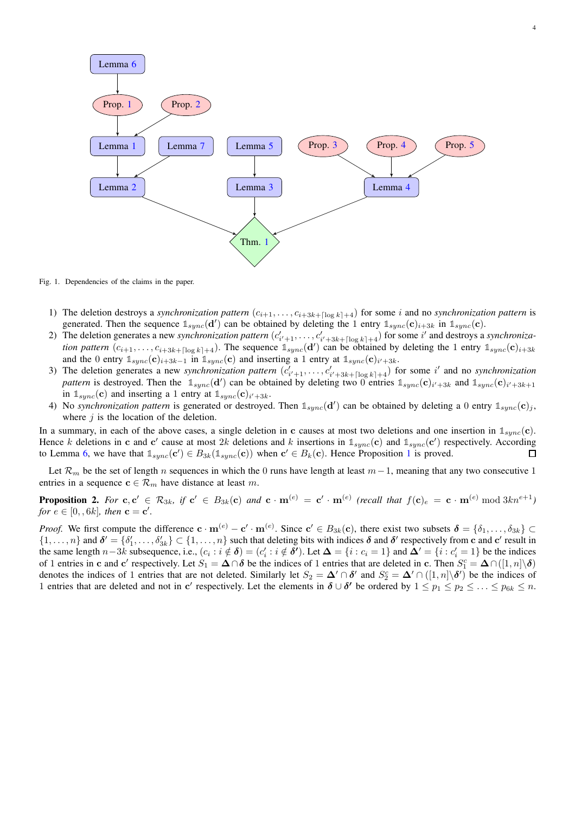

4

<span id="page-3-0"></span>Fig. 1. Dependencies of the claims in the paper.

- 1) The deletion destroys a *synchronization pattern*  $(c_{i+1}, \ldots, c_{i+3k+[log k]+4})$  for some *i* and no *synchronization pattern* is generated. Then the sequence  $\mathbb{1}_{sync}(\mathbf{d}')$  can be obtained by deleting the 1 entry  $\mathbb{1}_{sync}(\mathbf{c})_{i+3k}$  in  $\mathbb{1}_{sync}(\mathbf{c})$ .
- 2) The deletion generates a new *synchronization pattern*  $(c'_{i'+1}, \ldots, c'_{i'+3k+[\log k]+4})$  for some i' and destroys a *synchronization pattern*  $(c_{i+1}, \ldots, c_{i+3k+[\log k]+4})$ . The sequence  $\mathbb{1}_{sync}(d')$  can be obtained by deleting the 1 entry  $\mathbb{1}_{sync}(c)_{i+3k+[\log k]+4}$ . and the 0 entry  $\mathbb{1}_{sync}(\mathbf{c})_{i+3k-1}$  in  $\mathbb{1}_{sync}(\mathbf{c})$  and inserting a 1 entry at  $\mathbb{1}_{sync}(\mathbf{c})_{i'+3k}$ .
- 3) The deletion generates a new *synchronization pattern*  $(c'_{i'+1}, \ldots, c'_{i'+3k+[\log k]+4})$  for some i' and no *synchronization* pattern is destroyed. Then the  $\mathbb{1}_{sync}(d')$  can be obtained by deleting two 0 entries  $\mathbb{1}_{sync}(c)_{i'+3k}$  and  $\mathbb{1}_{sync}(c)_{i'+3k+1}$ in  $\mathbb{1}_{sync}(\mathbf{c})$  and inserting a 1 entry at  $\mathbb{1}_{sync}(\mathbf{c})_{i'+3k}$ .
- 4) No *synchronization pattern* is generated or destroyed. Then  $\mathbb{1}_{sync}(d')$  can be obtained by deleting a 0 entry  $\mathbb{1}_{sync}(c)_j$ , where  $j$  is the location of the deletion.

In a summary, in each of the above cases, a single deletion in c causes at most two deletions and one insertion in  $\mathbb{1}_{\text{sunc}}(c)$ . Hence k deletions in c and c' cause at most  $2k$  deletions and k insertions in  $\mathbb{1}_{sync}(c)$  and  $\mathbb{1}_{sync}(c')$  respectively. According to Lemma [6,](#page-2-3) we have that  $\mathbb{1}_{sync}(\mathbf{c}') \in B_{3k}(\mathbb{1}_{sync}(\mathbf{c}))$  $\mathbb{1}_{sync}(\mathbf{c}') \in B_{3k}(\mathbb{1}_{sync}(\mathbf{c}))$  $\mathbb{1}_{sync}(\mathbf{c}') \in B_{3k}(\mathbb{1}_{sync}(\mathbf{c}))$  when  $\mathbf{c}' \in B_k(\mathbf{c})$ . Hence Proposition 1 is proved.  $\Box$ 

Let  $\mathcal{R}_m$  be the set of length n sequences in which the 0 runs have length at least  $m-1$ , meaning that any two consecutive 1 entries in a sequence  $c \in \mathcal{R}_m$  have distance at least m.

<span id="page-3-1"></span>**Proposition 2.** For  $c, c' \in \mathcal{R}_{3k}$ , if  $c' \in B_{3k}(c)$  and  $c \cdot m^{(e)} = c' \cdot m^{(e)}$  (recall that  $f(c)_e = c \cdot m^{(e)} \mod 3kn^{e+1}$ ) *for*  $e \in [0, 6k]$ *, then*  $\mathbf{c} = \mathbf{c}'$ *.* 

*Proof.* We first compute the difference  $\mathbf{c} \cdot \mathbf{m}^{(e)} - \mathbf{c}' \cdot \mathbf{m}^{(e)}$ . Since  $\mathbf{c}' \in B_{3k}(\mathbf{c})$ , there exist two subsets  $\boldsymbol{\delta} = {\delta_1, \ldots, \delta_{3k}} \subset$  $\{1,\ldots,n\}$  and  $\delta' = \{\delta'_1,\ldots,\delta'_{3k}\}\subset\{1,\ldots,n\}$  such that deleting bits with indices  $\delta$  and  $\delta'$  respectively from c and c' result in the same length  $n-3k$  subsequence, i.e.,  $(c_i : i \notin \delta) = (c'_i : i \notin \delta')$ . Let  $\Delta = \{i : c_i = 1\}$  and  $\Delta' = \{i : c'_i = 1\}$  be the indices of 1 entries in c and c' respectively. Let  $S_1 = \Delta \cap \delta$  be the indices of 1 entries that are deleted in c. Then  $S_1^c = \Delta \cap ([1, n] \setminus \delta)$ denotes the indices of 1 entries that are not deleted. Similarly let  $S_2 = \Delta' \cap \delta'$  and  $S_2^c = \Delta' \cap ([1, n] \setminus \delta')$  be the indices of 1 entries that are deleted and not in c' respectively. Let the elements in  $\delta \cup \delta'$  be ordered by  $1 \leq p_1 \leq p_2 \leq \ldots \leq p_{6k} \leq n$ .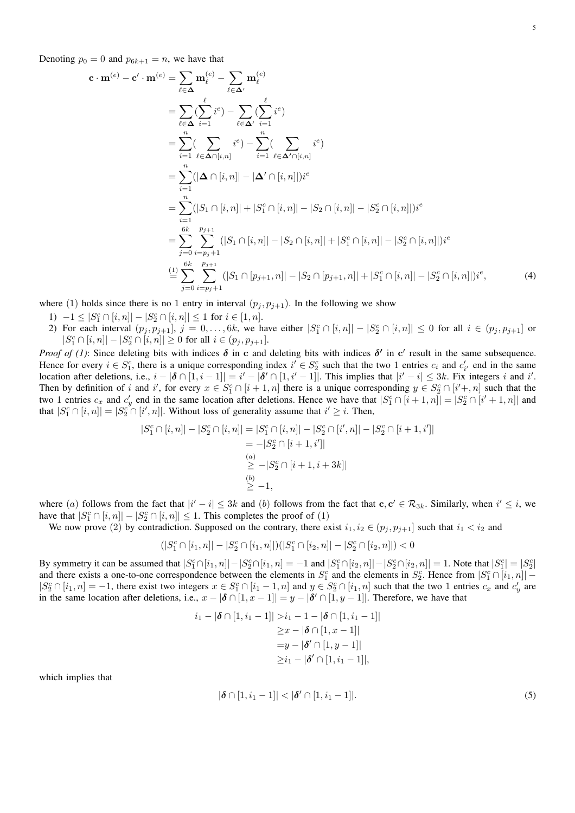Denoting  $p_0 = 0$  and  $p_{6k+1} = n$ , we have that

$$
\mathbf{c} \cdot \mathbf{m}^{(e)} - \mathbf{c}' \cdot \mathbf{m}^{(e)} = \sum_{\ell \in \Delta} \mathbf{m}_{\ell}^{(e)} - \sum_{\ell \in \Delta'} \mathbf{m}_{\ell}^{(e)}
$$
\n
$$
= \sum_{\ell \in \Delta} (\sum_{i=1}^{\ell} i^{e}) - \sum_{\ell \in \Delta'} (\sum_{i=1}^{\ell} i^{e})
$$
\n
$$
= \sum_{i=1}^{n} (\sum_{\ell \in \Delta \cap [i,n]} i^{e}) - \sum_{i=1}^{n} (\sum_{\ell \in \Delta' \cap [i,n]} i^{e})
$$
\n
$$
= \sum_{i=1}^{n} (|\Delta \cap [i,n]| - |\Delta' \cap [i,n]|) i^{e}
$$
\n
$$
= \sum_{i=1}^{n} (|S_{1} \cap [i,n]| + |S_{1}^{c} \cap [i,n]| - |S_{2} \cap [i,n]| - |S_{2}^{c} \cap [i,n]|) i^{e}
$$
\n
$$
= \sum_{j=0}^{6k} \sum_{i=p_{j}+1}^{p_{j+1}} (|S_{1} \cap [i,n]| - |S_{2} \cap [i,n]| + |S_{1}^{c} \cap [i,n]| - |S_{2}^{c} \cap [i,n]|) i^{e}
$$
\n
$$
\stackrel{(1)}{=} \sum_{j=0}^{6k} \sum_{i=p_{j}+1}^{p_{j+1}} (|S_{1} \cap [p_{j+1},n]| - |S_{2} \cap [p_{j+1},n]| + |S_{1}^{c} \cap [i,n]| - |S_{2}^{c} \cap [i,n]|) i^{e}, \tag{4}
$$

where (1) holds since there is no 1 entry in interval  $(p_i, p_{i+1})$ . In the following we show

- 1)  $-1 \leq |S_1^c \cap [i, n]| |S_2^c \cap [i, n]| \leq 1$  for  $i \in [1, n]$ .
- 2) For each interval  $(p_j, p_{j+1}], j = 0, \ldots, 6k$ , we have either  $|S_1^c \cap [i,n]| |S_2^c \cap [i,n]| \leq 0$  for all  $i \in (p_j, p_{j+1}]$  or  $|S_1^c \cap [i, n]| - |S_2^c \cap [i, n]| \ge 0$  for all  $i \in (p_j, p_{j+1}].$

*Proof of (1)*: Since deleting bits with indices  $\delta$  in c and deleting bits with indices  $\delta'$  in c' result in the same subsequence. Hence for every  $i \in S_1^c$ , there is a unique corresponding index  $i' \in S_2^c$  such that the two 1 entries  $c_i$  and  $c'_{i'}$  end in the same location after deletions, i.e.,  $i - |\delta \cap [1, i - 1]| = i' - |\delta' \cap [1, i' - 1]|$ . This implies that  $|i' - i| \leq 3k$ . Fix integers i and i'. Then by definition of i and i', for every  $x \in S_1^c \cap [i+1, n]$  there is a unique corresponding  $y \in S_2^c \cap [i'+, n]$  such that the two 1 entries  $c_x$  and  $c'_y$  end in the same location after deletions. Hence we have that  $|S_1^c \cap [i+1, n]| = |S_2^c \cap [i'+1, n]|$  and that  $|S_1^c \cap [i, n]| = |S_2^c \cap [i', n]|$ . Without loss of generality assume that  $i' \geq i$ . Then,

<span id="page-4-1"></span>
$$
|S_1^c \cap [i, n]| - |S_2^c \cap [i, n]| = |S_1^c \cap [i, n]| - |S_2^c \cap [i', n]| - |S_2^c \cap [i+1, i']|
$$
  
= -|S\_2^c \cap [i+1, i']|  

$$
\overset{(a)}{\geq} -|S_2^c \cap [i+1, i+3k]|
$$
  

$$
\overset{(b)}{\geq} -1,
$$

where (a) follows from the fact that  $|i'-i| \leq 3k$  and (b) follows from the fact that  $c, c' \in \mathcal{R}_{3k}$ . Similarly, when  $i' \leq i$ , we have that  $|S_1^c \cap [i, n]| - |S_2^c \cap [i, n]| \leq 1$ . This completes the proof of (1)

We now prove (2) by contradiction. Supposed on the contrary, there exist  $i_1, i_2 \in (p_j, p_{j+1}]$  such that  $i_1 < i_2$  and

$$
(|S_1^c \cap [i_1,n]|-|S_2^c \cap [i_1,n]|)(|S_1^c \cap [i_2,n]|-|S_2^c \cap [i_2,n]|)<0
$$

By symmetry it can be assumed that  $|S_1^c \cap [i_1, n]| - |S_2^c \cap [i_1, n] = -1$  and  $|S_1^c \cap [i_2, n]| - |S_2^c \cap [i_2, n]| = 1$ . Note that  $|S_1^c| = |S_2^c|$ and there exists a one-to-one correspondence between the elements in  $S_1^c$  and the elements in  $S_2^c$ . Hence from  $|S_1^c \cap [i_1, n]|$  –  $|S_2^c \cap [i_1, n] = -1$ , there exist two integers  $x \in S_1^c \cap [i_1 - 1, n]$  and  $y \in S_2^c \cap [i_1, n]$  such that the two 1 entries  $c_x$  and  $c'_y$  are in the same location after deletions, i.e.,  $x - |\delta \cap [1, x - 1]| = y - |\delta' \cap [1, y - 1]|$ . Therefore, we have that

$$
i_1 - |\delta \cap [1, i_1 - 1]| > i_1 - 1 - |\delta \cap [1, i_1 - 1]|
$$
  
\n
$$
\geq x - |\delta \cap [1, x - 1]|
$$
  
\n
$$
= y - |\delta' \cap [1, y - 1]|
$$
  
\n
$$
\geq i_1 - |\delta' \cap [1, i_1 - 1]|,
$$

which implies that

<span id="page-4-0"></span>
$$
|\delta \cap [1, i_1 - 1]| < |\delta' \cap [1, i_1 - 1]|. \tag{5}
$$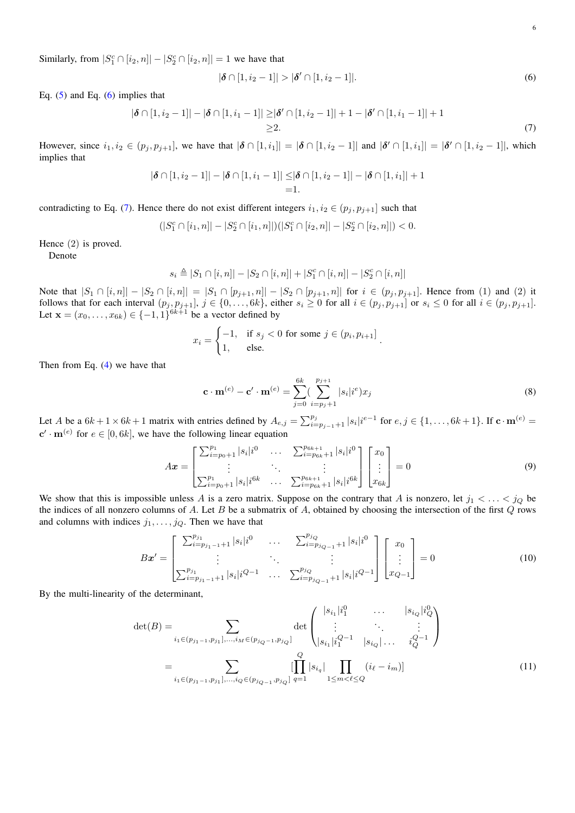Similarly, from  $|S_1^c \cap [i_2, n]| - |S_2^c \cap [i_2, n]| = 1$  we have that

<span id="page-5-1"></span><span id="page-5-0"></span>
$$
|\delta \cap [1, i_2 - 1]| > |\delta' \cap [1, i_2 - 1]|. \tag{6}
$$

Eq.  $(5)$  and Eq.  $(6)$  implies that

$$
|\boldsymbol{\delta} \cap [1, i_2 - 1]| - |\boldsymbol{\delta} \cap [1, i_1 - 1]| \geq |\boldsymbol{\delta}' \cap [1, i_2 - 1]| + 1 - |\boldsymbol{\delta}' \cap [1, i_1 - 1]| + 1
$$
  
\n
$$
\geq 2.
$$
 (7)

However, since  $i_1, i_2 \in (p_j, p_{j+1}]$ , we have that  $|\boldsymbol{\delta} \cap [1, i_1]| = |\boldsymbol{\delta} \cap [1, i_2 - 1]|$  and  $|\boldsymbol{\delta}' \cap [1, i_1]| = |\boldsymbol{\delta}' \cap [1, i_2 - 1]|$ , which implies that

$$
|\boldsymbol{\delta} \cap [1, i_2 - 1]| - |\boldsymbol{\delta} \cap [1, i_1 - 1]| \leq |\boldsymbol{\delta} \cap [1, i_2 - 1]| - |\boldsymbol{\delta} \cap [1, i_1]| + 1
$$
  
=1.

contradicting to Eq. [\(7\)](#page-5-1). Hence there do not exist different integers  $i_1, i_2 \in (p_i, p_{i+1}]$  such that

$$
(|S_1^c \cap [i_1, n]| - |S_2^c \cap [i_1, n]|)(|S_1^c \cap [i_2, n]| - |S_2^c \cap [i_2, n]|) < 0.
$$

Hence (2) is proved.

Denote

$$
s_i \triangleq |S_1 \cap [i, n]| - |S_2 \cap [i, n]| + |S_1^c \cap [i, n]| - |S_2^c \cap [i, n]|
$$

Note that  $|S_1 \cap [i, n]| - |S_2 \cap [i, n]| = |S_1 \cap [p_{j+1}, n]| - |S_2 \cap [p_{j+1}, n]|$  for  $i \in (p_j, p_{j+1}]$ . Hence from (1) and (2) it follows that for each interval  $(p_j, p_{j+1}], j \in \{0, \ldots, 6k\}$ , either  $s_i \geq 0$  for all  $i \in (p_j, p_{j+1}]$  or  $s_i \leq 0$  for all  $i \in (p_j, p_{j+1}]$ . Let  $\mathbf{x} = (x_0, ..., x_{6k}) \in \{-1, 1\}^{6k+1}$  be a vector defined by

$$
x_i = \begin{cases} -1, & \text{if } s_j < 0 \text{ for some } j \in (p_i, p_{i+1}] \\ 1, & \text{else.} \end{cases}.
$$

Then from Eq. [\(4\)](#page-4-1) we have that

$$
\mathbf{c} \cdot \mathbf{m}^{(e)} - \mathbf{c}' \cdot \mathbf{m}^{(e)} = \sum_{j=0}^{6k} \left( \sum_{i=p_j+1}^{p_{j+1}} |s_i| i^e \right) x_j \tag{8}
$$

Let A be a  $6k+1 \times 6k+1$  matrix with entries defined by  $A_{e,j} = \sum_{i=p_j-1+1}^{p_j} |s_i|^{i} e^{-1}$  for  $e, j \in \{1, ..., 6k+1\}$ . If  $\mathbf{c} \cdot \mathbf{m}^{(e)} =$  ${\bf c}' \cdot {\bf m}^{(e)}$  for  $e \in [0, 6k]$ , we have the following linear equation

$$
A\boldsymbol{x} = \begin{bmatrix} \sum_{i=p_0+1}^{p_1} |s_i|i^0 & \cdots & \sum_{i=p_{6k}+1}^{p_{6k+1}} |s_i|i^0 \\ \vdots & \ddots & \vdots \\ \sum_{i=p_0+1}^{p_1} |s_i|i^{6k} & \cdots & \sum_{i=p_{6k}+1}^{p_{6k+1}} |s_i|i^{6k} \end{bmatrix} \begin{bmatrix} x_0 \\ \vdots \\ x_{6k} \end{bmatrix} = 0
$$
 (9)

We show that this is impossible unless A is a zero matrix. Suppose on the contrary that A is nonzero, let  $j_1 < \ldots < j_Q$  be the indices of all nonzero columns of A. Let B be a submatrix of A, obtained by choosing the intersection of the first  $Q$  rows and columns with indices  $j_1, \ldots, j_Q$ . Then we have that

$$
Bx' = \begin{bmatrix} \sum_{i=p_{j_1-1}+1}^{p_{j_1}} |s_i| i^0 & \cdots & \sum_{i=p_{j_{Q-1}+1}}^{p_{j_Q}} |s_i| i^0 \\ \vdots & \ddots & \vdots \\ \sum_{i=p_{j_1-1}+1}^{p_{j_1}} |s_i| i^{Q-1} & \cdots & \sum_{i=p_{j_{Q-1}+1}}^{p_{j_Q}} |s_i| i^{Q-1} \end{bmatrix} \begin{bmatrix} x_0 \\ \vdots \\ x_{Q-1} \end{bmatrix} = 0
$$
 (10)

By the multi-linearity of the determinant,

$$
\det(B) = \sum_{i_1 \in (p_{j_1-1}, p_{j_1}], \dots, i_M \in (p_{j_Q-1}, p_{j_Q}]} \det \begin{pmatrix} |s_{i_1}| i_1^0 & \dots & |s_{i_Q}| i_Q^0 \\ \vdots & \ddots & \vdots \\ |s_{i_1}| i_1^{Q-1} & |s_{i_Q}| \dots & i_Q^{Q-1} \end{pmatrix}
$$
  
= 
$$
\sum_{i_1 \in (p_{j_1-1}, p_{j_1}], \dots, i_Q \in (p_{j_{Q-1}}, p_{j_Q}]} \prod_{q=1}^Q |s_{i_q}| \prod_{1 \le m < \ell \le Q} (i_\ell - i_m) \tag{11}
$$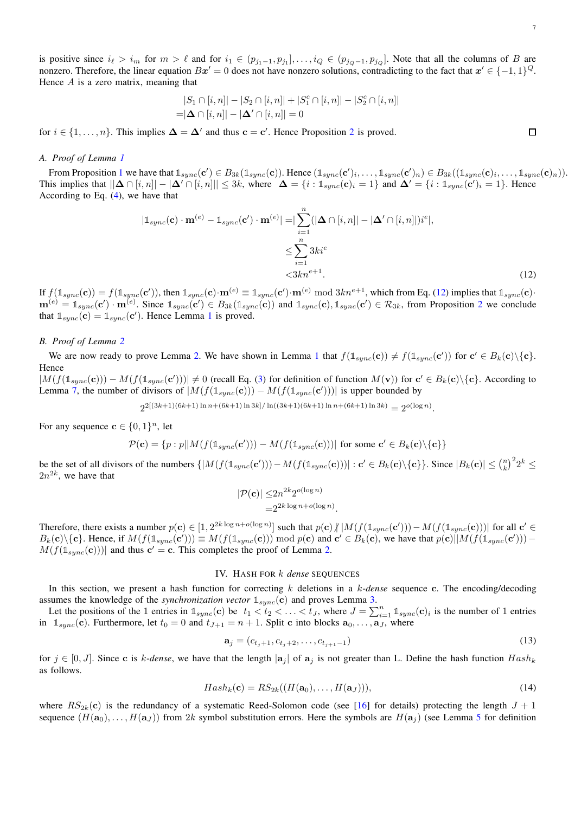is positive since  $i_{\ell} > i_m$  for  $m > \ell$  and for  $i_1 \in (p_{j_1-1}, p_{j_1}], \ldots, i_Q \in (p_{j_Q-1}, p_{j_Q}]$ . Note that all the columns of B are nonzero. Therefore, the linear equation  $Bx' = 0$  does not have nonzero solutions, contradicting to the fact that  $x' \in \{-1,1\}^Q$ . Hence  $A$  is a zero matrix, meaning that

$$
|S_1 \cap [i, n]| - |S_2 \cap [i, n]| + |S_1^c \cap [i, n]| - |S_2^c \cap [i, n]|
$$
  
=  $|\Delta \cap [i, n]| - |\Delta' \cap [i, n]| = 0$ 

for  $i \in \{1, \ldots, n\}$ . This implies  $\Delta = \Delta'$  and thus  $\mathbf{c} = \mathbf{c}'$ . Hence Proposition [2](#page-3-1) is proved.

# <span id="page-6-1"></span>*A. Proof of Lemma [1](#page-1-1)*

From Proposition [1](#page-2-6) we have that  $\mathbb{1}_{sync}(\mathbf{c}') \in B_{3k}(\mathbb{1}_{sync}(\mathbf{c}))$ . Hence  $(\mathbb{1}_{sync}(\mathbf{c}')_i, \ldots, \mathbb{1}_{sync}(\mathbf{c}')_n) \in B_{3k}((\mathbb{1}_{sync}(\mathbf{c})_i, \ldots, \mathbb{1}_{sync}(\mathbf{c})_n))$ . This implies that  $||\Delta \cap [i, n]| - |\Delta' \cap [i, n]| \leq 3k$ , where  $\Delta = \{i : \mathbb{1}_{sync}(\mathbf{c})_i = 1\}$  and  $\Delta' = \{i : \mathbb{1}_{sync}(\mathbf{c}')_i = 1\}$ . Hence According to Eq. [\(4\)](#page-4-1), we have that

$$
|\mathbb{1}_{sync}(\mathbf{c}) \cdot \mathbf{m}^{(e)} - \mathbb{1}_{sync}(\mathbf{c}') \cdot \mathbf{m}^{(e)}| = \left| \sum_{i=1}^{n} (|\Delta \cap [i, n]| - |\Delta' \cap [i, n]|) i^{e} \right|,
$$
  

$$
\leq \sum_{i=1}^{n} 3ki^{e}
$$
  
<3kn<sup>e+1</sup>. (12)

If  $f(\mathbb{1}_{sync}(\mathbf{c})) = f(\mathbb{1}_{sync}(\mathbf{c}'))$ , then  $\mathbb{1}_{sync}(\mathbf{c}) \cdot \mathbf{m}^{(e)} \equiv \mathbb{1}_{sync}(\mathbf{c}') \cdot \mathbf{m}^{(e)} \bmod 3kn^{e+1}$ , which from Eq. [\(12\)](#page-6-3) implies that  $\mathbb{1}_{sync}(\mathbf{c}) \cdot$  $\mathbf{m}^{(e)} = \mathbb{1}_{sync}(\mathbf{c}') \cdot \mathbf{m}^{(e)}$ . Since  $\mathbb{1}_{sync}(\mathbf{c}') \in B_{3k}(\mathbb{1}_{sync}(\mathbf{c}))$  and  $\mathbb{1}_{sync}(\mathbf{c})$ ,  $\mathbb{1}_{sync}(\mathbf{c}') \in \mathcal{R}_{3k}$ , from Proposition [2](#page-3-1) we conclude that  $\mathbb{1}_{sync}(\mathbf{c}) = \mathbb{1}_{sync}(\mathbf{c}')$  $\mathbb{1}_{sync}(\mathbf{c}) = \mathbb{1}_{sync}(\mathbf{c}')$  $\mathbb{1}_{sync}(\mathbf{c}) = \mathbb{1}_{sync}(\mathbf{c}')$ . Hence Lemma 1 is proved.

# <span id="page-6-2"></span>*B. Proof of Lemma [2](#page-1-2)*

We are now ready to prove Lemma [2.](#page-1-2) We have shown in Lemma [1](#page-1-1) that  $f(\mathbb{1}_{sync}(\mathbf{c})) \neq f(\mathbb{1}_{sync}(\mathbf{c}'))$  for  $\mathbf{c}' \in B_k(\mathbf{c}) \setminus {\mathbf{c}}$ . Hence

 $|M(f(\mathbb{1}_{sync}(\mathbf{c}))) - M(f(\mathbb{1}_{sync}(\mathbf{c}')))| \neq 0$  (recall Eq. [\(3\)](#page-1-3) for definition of function  $M(\mathbf{v})$ ) for  $\mathbf{c}' \in B_k(\mathbf{c}) \setminus {\mathbf{c}}$ . According to Lemma [7,](#page-2-4) the number of divisors of  $|M(f(\mathbb{1}_{sync}(c))) - M(f(\mathbb{1}_{sync}(c')))|$  is upper bounded by

 $2^{2[(3k+1)(6k+1)\ln n + (6k+1)\ln 3k] / \ln((3k+1)(6k+1)\ln n + (6k+1)\ln 3k)} = 2^{o(\log n)}.$ 

For any sequence  $\mathbf{c} \in \{0, 1\}^n$ , let

$$
\mathcal{P}(\mathbf{c}) = \{p : p \mid \left| M(f(\mathbb{1}_{sync}(\mathbf{c}')) - M(f(\mathbb{1}_{sync}(\mathbf{c}))) \right| \text{ for some } \mathbf{c}' \in B_k(\mathbf{c}) \setminus \{\mathbf{c}\}\}\
$$

be the set of all divisors of the numbers  $\{|M(f(\mathbb{1}_{sync}(\mathbf{c}')))-M(f(\mathbb{1}_{sync}(\mathbf{c})))| : \mathbf{c}' \in B_k(\mathbf{c}) \setminus {\{\mathbf{c}\}}\}.$  Since  $|B_k(\mathbf{c})| \leq {n \choose k}^2 2^k \leq$  $2n^{2k}$ , we have that

$$
|\mathcal{P}(\mathbf{c})| \le 2n^{2k} 2^{o(\log n)}
$$
  
=  $2^{2k \log n + o(\log n)}$ 

<span id="page-6-5"></span><span id="page-6-4"></span>.

Therefore, there exists a number  $p(c) \in [1, 2^{2k \log n + o(\log n)}]$  such that  $p(c) / |M(f(\mathbb{1}_{sync}(c'))) - M(f(\mathbb{1}_{sync}(c)))|$  for all  $c' \in [1, 2^{2k \log n + o(\log n)}]$  $B_k(c)\setminus\{c\}$ . Hence, if  $M(f(\mathbb{1}_{sync}(c')))\equiv M(f(\mathbb{1}_{sync}(c)))$  mod  $p(c)$  and  $c' \in B_k(c)$ , we have that  $p(c)||M(f(\mathbb{1}_{sync}(c'))) M(f(\mathbb{1}_{sync}(\mathbf{c})))$  and thus  $\mathbf{c}' = \mathbf{c}$ . This completes the proof of Lemma [2.](#page-1-2)

# IV. HASH FOR k *dense* SEQUENCES

<span id="page-6-0"></span>In this section, we present a hash function for correcting k deletions in a k-*dense* sequence c. The encoding/decoding assumes the knowledge of the *synchronization vector*  $\mathbb{1}_{\text{sync}}(c)$  and proves Lemma [3.](#page-2-1)

Let the positions of the 1 entries in  $\mathbb{1}_{sync}(c)$  be  $t_1 < t_2 < \ldots < t_J$ , where  $J = \sum_{i=1}^{n} \mathbb{1}_{sync}(c)_i$  is the number of 1 entries in  $\mathbb{1}_{sync}(\mathbf{c})$ . Furthermore, let  $t_0 = 0$  and  $t_{J+1} = n + 1$ . Split c into blocks  $\mathbf{a}_0, \ldots, \mathbf{a}_J$ , where

$$
\mathbf{a}_{j} = (c_{t_{j}+1}, c_{t_{j}+2}, \dots, c_{t_{j+1}-1})
$$
\n(13)

for  $j \in [0, J]$ . Since c is k-dense, we have that the length  $|a_j|$  of  $a_j$  is not greater than L. Define the hash function  $Hash_k$ as follows.

$$
Hash_k(\mathbf{c}) = RS_{2k}((H(\mathbf{a}_0),...,H(\mathbf{a}_J))),
$$
\n(14)

where  $RS_{2k}(c)$  is the redundancy of a systematic Reed-Solomon code (see [\[16\]](#page-11-15) for details) protecting the length  $J + 1$ sequence  $(H(\mathbf{a}_0), \ldots, H(\mathbf{a}_J))$  from 2k symbol substitution errors. Here the symbols are  $H(\mathbf{a}_i)$  (see Lemma [5](#page-2-2) for definition

<span id="page-6-3"></span> $\Box$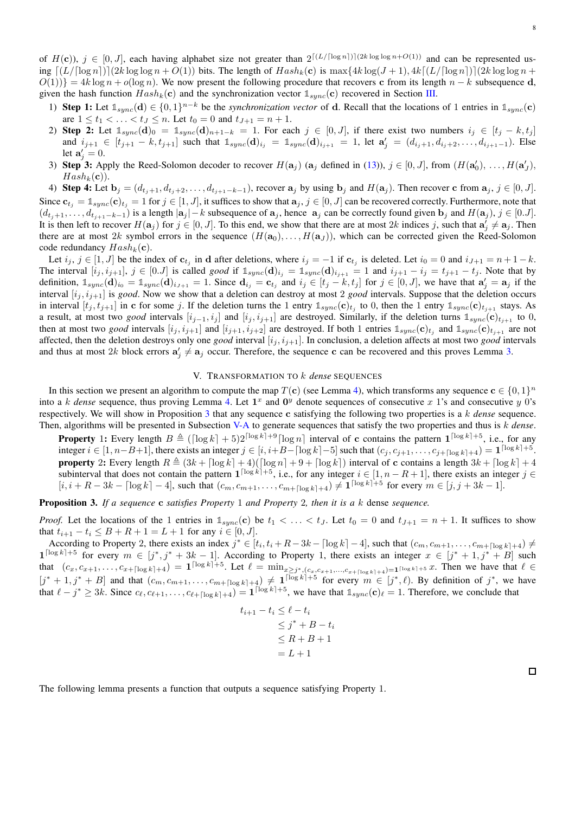of  $H(c)$ ),  $j \in [0, J]$ , each having alphabet size not greater than  $2^{\lceil (L/\lceil \log n \rceil) \rceil (2k \log \log n + O(1))}$  and can be represented using  $[(L/[\log n])(2k \log \log n + O(1))]$  bits. The length of  $Hash_k(c)$  is  $\max\{4k \log (J + 1), 4k\lceil (L/[\log n]) \rceil \}$  (2k log log n +  $O(1)$ } = 4k log n +  $o(\log n)$ . We now present the following procedure that recovers c from its length n – k subsequence d, given the hash function  $Hash_k(c)$  and the synchronization vector  $\mathbb{1}_{sync}(c)$  recovered in Section [III.](#page-2-0)

- 1) **Step 1:** Let  $\mathbb{1}_{sync}(d) \in \{0, 1\}^{n-k}$  be the *synchronization vector* of d. Recall that the locations of 1 entries in  $\mathbb{1}_{sync}(c)$ are  $1 \le t_1 < \ldots < t_J \le n$ . Let  $t_0 = 0$  and  $t_{J+1} = n + 1$ .
- 2) Step 2: Let  $\mathbb{1}_{sync}(d)_0 = \mathbb{1}_{sync}(d)_{n+1-k} = 1$ . For each  $j \in [0, J]$ , if there exist two numbers  $i_j \in [t_j k, t_j]$ and  $i_{j+1} \in [t_{j+1} - k, t_{j+1}]$  such that  $\mathbb{1}_{sync}(\mathbf{d})_{i_j} = \mathbb{1}_{sync}(\mathbf{d})_{i_{j+1}} = 1$ , let  $\mathbf{a}'_j = (d_{i_j+1}, d_{i_j+2}, \ldots, d_{i_{j+1}-1})$ . Else let  $\mathbf{a}'_j = 0$ .
- 3) Step 3: Apply the Reed-Solomon decoder to recover  $H(\mathbf{a}_j)$  ( $\mathbf{a}_j$  defined in [\(13\)](#page-6-4)),  $j \in [0, J]$ , from  $(H(\mathbf{a}'_0), \ldots, H(\mathbf{a}'_J)$ ,  $Hash_k(c)$ .

4) Step 4: Let  $\mathbf{b}_j = (d_{t_j+1}, d_{t_j+2}, \ldots, d_{t_{j+1}-k-1})$ , recover  $\mathbf{a}_j$  by using  $\mathbf{b}_j$  and  $H(\mathbf{a}_j)$ . Then recover c from  $\mathbf{a}_j$ ,  $j \in [0, J]$ . Since  $c_{t_i} = \mathbb{1}_{sync}(c)_{t_i} = 1$  for  $j \in [1, J]$ , it suffices to show that  $a_j, j \in [0, J]$  can be recovered correctly. Furthermore, note that  $(d_{t_j+1}, \ldots, d_{t_{j+1}-k-1})$  is a length  $|\mathbf{a}_j| - k$  subsequence of  $\mathbf{a}_j$ , hence  $\mathbf{a}_j$  can be correctly found given  $\mathbf{b}_j$  and  $H(\mathbf{a}_j)$ ,  $j \in [0..J]$ . It is then left to recover  $H(\mathbf{a}_j)$  for  $j \in [0, J]$ . To this end, we show that there are at most  $2k$  indices j, such that  $\mathbf{a}'_j \neq \mathbf{a}_j$ . Then there are at most 2k symbol errors in the sequence  $(H(a_0), \ldots, H(a_J))$ , which can be corrected given the Reed-Solomon code redundancy  $Hash_k(c)$ .

Let  $i_j, j \in [1, J]$  be the index of  $\mathbf{c}_{t_j}$  in d after deletions, where  $i_j = -1$  if  $\mathbf{c}_{t_j}$  is deleted. Let  $i_0 = 0$  and  $i_{J+1} = n+1-k$ . The interval  $[i_j, i_{j+1}]$ ,  $j \in [0, J]$  is called *good* if  $\mathbb{1}_{sync}(\mathbf{d})_{i_j} = \mathbb{1}_{sync}(\mathbf{d})_{i_{j+1}} = 1$  and  $i_{j+1} - i_j = t_{j+1} - t_j$ . Note that by definition,  $\mathbb{1}_{sync}(\mathbf{d})_{i_0} = \mathbb{1}_{sync}(\mathbf{d})_{i_{J+1}} = 1$ . Since  $\mathbf{d}_{i_j} = \mathbf{c}_{t_j}$  and  $i_j \in [t_j - k, t_j]$  for  $j \in [0, J]$ , we have that  $\mathbf{a}'_j = \mathbf{a}_j$  if the interval  $[i_j, i_{j+1}]$  is *good*. Now we show that a deletion can destroy at most 2 *good* intervals. Suppose that the deletion occurs in interval  $[t_j, t_{j+1}]$  in c for some j. If the deletion turns the 1 entry  $\mathbb{1}_{sync}(\mathbf{c})_{t_j}$  to 0, then the 1 entry  $\mathbb{1}_{sync}(\mathbf{c})_{t_{j+1}}$  stays. As a result, at most two *good* intervals  $[i_{j-1}, i_j]$  and  $[i_j, i_{j+1}]$  are destroyed. Similarly, if the deletion turns  $\mathbb{1}_{sync}(\mathbf{c})_{t_{j+1}}$  to 0, then at most two *good* intervals  $[i_j, i_{j+1}]$  and  $[i_{j+1}, i_{j+2}]$  are destroyed. If both 1 entries  $\mathbb{1}_{sync}(\mathbf{c})_{t_j}$  and  $\mathbb{1}_{sync}(\mathbf{c})_{t_{j+1}}$  are not affected, then the deletion destroys only one *good* interval  $[i_j, i_{j+1}]$ . In conclusion, a deletion affects at most two *good* intervals and thus at most 2k block errors  $a'_j \neq a_j$  occur. Therefore, the sequence c can be recovered and this proves Lemma [3.](#page-2-1)

# V. TRANSFORMATION TO k *dense* SEQUENCES

<span id="page-7-0"></span>In this section we present an algorithm to compute the map  $T(c)$  (see Lemma [4\)](#page-2-5), which transforms any sequence  $c \in \{0,1\}^n$ into a k *dense* sequence, thus proving Lemma [4.](#page-2-5) Let  $1^x$  and  $0^y$  denote sequences of consecutive x 1's and consecutive y 0's respectively. We will show in Proposition [3](#page-7-1) that any sequence c satisfying the following two properties is a k *dense* sequence. Then, algorithms will be presented in Subsection [V-A](#page-9-0) to generate sequences that satisfy the two properties and thus is k *dense*.

**Property** 1: Every length  $B \triangleq ( [\log k] + 5)2^{\lceil \log k \rceil + 9} [\log n]$  interval of c contains the pattern  $\mathbf{1}^{\lceil \log k \rceil + 5}$ , i.e., for any integer  $i \in [1, n-B+1]$ , there exists an integer  $j \in [i, i+B-[log k]-5]$  such that  $(c_j, c_{j+1}, \ldots, c_{j+[log k]+4}) = \mathbf{1}^{\lceil \log k \rceil +5}$ . **property** 2: Every length  $R \triangleq (3k + \lceil \log k \rceil + 4)(\lceil \log n \rceil + 9 + \lceil \log k \rceil)$  interval of c contains a length  $3k + \lceil \log k \rceil + 4$ subinterval that does not contain the pattern  $\mathbf{1}^{\lceil \log k \rceil + 5}$ , i.e., for any integer  $i \in [1, n - R + 1]$ , there exists an integer  $j \in$  $[i, i + R - 3k - \lceil \log k \rceil - 4]$ , such that  $(c_m, c_{m+1}, \ldots, c_{m+\lceil \log k \rceil + 4}) \neq 1^{\lceil \log k \rceil + 5}$  for every  $m \in [j, j + 3k - 1]$ .

<span id="page-7-1"></span>Proposition 3. *If a sequence* c *satisfies Property* 1 *and Property* 2*, then it is a* k dense *sequence.*

*Proof.* Let the locations of the 1 entries in  $\mathbb{1}_{sync}(c)$  be  $t_1 < \ldots < t_J$ . Let  $t_0 = 0$  and  $t_{J+1} = n + 1$ . It suffices to show that  $t_{i+1} - t_i \leq B + R + 1 = L + 1$  for any  $i \in [0, J]$ .

According to Property 2, there exists an index  $j^* \in [t_i, t_i + R - 3k - \lceil \log k \rceil - 4]$ , such that  $(c_m, c_{m+1}, \ldots, c_{m+\lceil \log k \rceil + 4}) \neq$  $\mathbf{1}^{\lceil \log k \rceil + 5}$  for every  $m \in [j^*, j^* + 3k - 1]$ . According to Property 1, there exists an integer  $x \in [j^* + 1, j^* + B]$  such that  $(c_x, c_{x+1}, \ldots, c_{x+[\log k]+4}) = 1^{\lceil \log k \rceil + 5}$ . Let  $\ell = \min_{x \geq j^*, (c_x, c_{x+1}, \ldots, c_{x+[\log k]+4}) = 1^{\lceil \log k \rceil + 5} x$ . Then we have that  $\ell \in$  $[j^*+1,j^*+B]$  and that  $(c_m,c_{m+1},\ldots,c_{m+\lceil \log k\rceil+4})\neq 1^{\lceil \log k\rceil+5}$  for every  $m\in [j^*,\ell)$ . By definition of  $j^*$ , we have that  $\ell - j^* \geq 3k$ . Since  $c_{\ell}, c_{\ell+1}, \ldots, c_{\ell+\lceil \log k \rceil+4} = 1^{\lceil \log k \rceil+5}$ , we have that  $\mathbb{1}_{sync}(\mathbf{c})_{\ell} = 1$ . Therefore, we conclude that

$$
t_{i+1} - t_i \le \ell - t_i
$$
  
\n
$$
\le j^* + B - t_i
$$
  
\n
$$
\le R + B + 1
$$
  
\n
$$
= L + 1
$$

The following lemma presents a function that outputs a sequence satisfying Property 1.

 $\Box$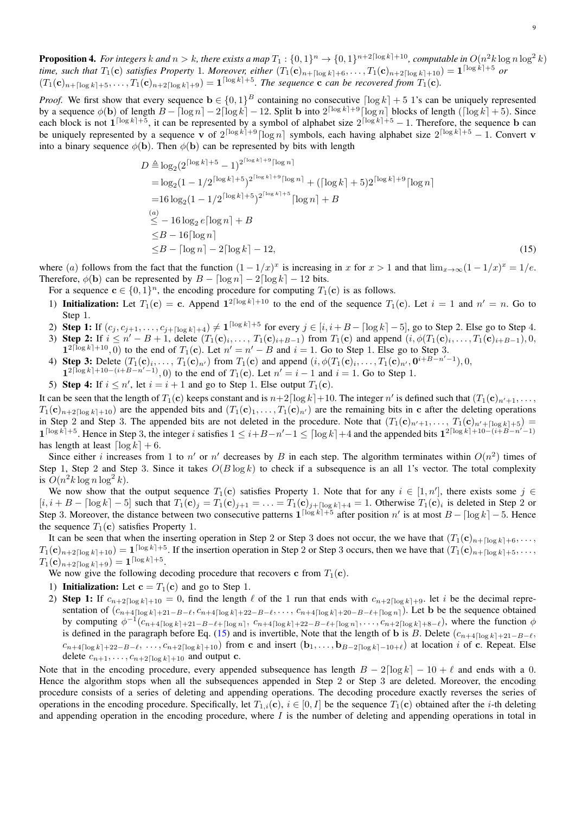<span id="page-8-0"></span>**Proposition 4.** For integers  $k$  and  $n > k$ , there exists a map  $T_1$  :  $\{0,1\}^n \to \{0,1\}^{n+2\lceil \log k \rceil+10}$ , computable in  $O(n^2 k \log n \log^2 k)$ *time, such that*  $T_1(c)$  *satisfies Property* 1. Moreover, either  $(T_1(c)_{n+\lceil \log k \rceil+6}, \ldots, T_1(c)_{n+2\lceil \log k \rceil+10}) = 1^{\lceil \log k \rceil+5}$  or  $(T_1(\mathbf{c})_{n+\lceil \log k \rceil+5}, \ldots, T_1(\mathbf{c})_{n+2\lceil \log k \rceil+9}) = \mathbf{1}^{\lceil \log k \rceil+5}$ . The sequence **c** can be recovered from  $T_1(\mathbf{c})$ .

*Proof.* We first show that every sequence  $\mathbf{b} \in \{0,1\}^B$  containing no consecutive  $\lceil \log k \rceil + 5$  1's can be uniquely represented by a sequence  $\phi(\mathbf{b})$  of length  $B - \lceil \log n \rceil - 2\lceil \log k \rceil - 12$ . Split  $\mathbf{b}$  into  $2^{\lceil \log k \rceil + 9} \lceil \log n \rceil$  blocks of length  $(\lceil \log k \rceil + 5)$ . Since each block is not  $1^{\lceil \log k \rceil + 5}$ , it can be represented by a symbol of alphabet size  $2^{\lceil \log k \rceil + 5} - 1$ . Therefore, the sequence b can be uniquely represented by a sequence v of  $2^{\lceil \log k \rceil + 9} \lceil \log n \rceil$  symbols, each having alphabet size  $2^{\lceil \log k \rceil + 5} - 1$ . Convert v into a binary sequence  $\phi(\mathbf{b})$ . Then  $\phi(\mathbf{b})$  can be represented by bits with length

<span id="page-8-1"></span>
$$
D \triangleq \log_2(2^{\lceil \log k \rceil + 5} - 1)^{2^{\lceil \log k \rceil + 9} \lceil \log n \rceil}
$$
  
=  $\log_2(1 - 1/2^{\lceil \log k \rceil + 5})^{2^{\lceil \log k \rceil + 9} \lceil \log n \rceil} + (\lceil \log k \rceil + 5)2^{\lceil \log k \rceil + 9} \lceil \log n \rceil$   
=  $16 \log_2(1 - 1/2^{\lceil \log k \rceil + 5})^{2^{\lceil \log k \rceil + 5} \lceil} \lceil \log n \rceil + B$   
 $\leq - 16 \log_2 e \lceil \log n \rceil + B$   
 $\leq B - 16 \lceil \log n \rceil$   
 $\leq B - \lceil \log n \rceil - 2 \lceil \log k \rceil - 12,$  (15)

where (a) follows from the fact that the function  $(1 - 1/x)^x$  is increasing in x for  $x > 1$  and that  $\lim_{x \to \infty} (1 - 1/x)^x = 1/e$ . Therefore,  $\phi(\mathbf{b})$  can be represented by  $B - \lceil \log n \rceil - 2 \lceil \log k \rceil - 12$  bits.

For a sequence  $\mathbf{c} \in \{0, 1\}^n$ , the encoding procedure for computing  $T_1(\mathbf{c})$  is as follows.

- 1) Initialization: Let  $T_1(c) = c$ . Append  $1^{2\lceil \log k \rceil + 10}$  to the end of the sequence  $T_1(c)$ . Let  $i = 1$  and  $n' = n$ . Go to Step 1.
- 2) Step 1: If  $(c_j, c_{j+1}, \ldots, c_{j+\lceil \log k \rceil+4}) \neq 1^{\lceil \log k \rceil+5}$  for every  $j \in [i, i+B-\lceil \log k \rceil-5]$ , go to Step 2. Else go to Step 4.
- 3) Step 2: If  $i \leq n' B + 1$ , delete  $(T_1(c)_i, \ldots, T_1(c)_{i+B-1})$  from  $T_1(c)$  and append  $(i, \phi(T_1(c)_i, \ldots, T_1(c)_{i+B-1}), 0$ ,  $1^{2\lceil \log k \rceil + 10}$ , 0) to the end of  $T_1(c)$ . Let  $n' = n' - B$  and  $i = 1$ . Go to Step 1. Else go to Step 3.
- 4) Step 3: Delete  $(T_1(\mathbf{c})_i, \ldots, T_1(\mathbf{c})_{n'})$  from  $T_1(\mathbf{c})$  and append  $(i, \phi(T_1(\mathbf{c})_i, \ldots, T_1(\mathbf{c})_{n'}, \mathbf{0}^{i+B-n'-1}), 0$ ,  $1^{2\lceil \log k \rceil + 10 - (i + B - n' - 1)}$ , 0) to the end of  $T_1(c)$ . Let  $n' = i - 1$  and  $i = 1$ . Go to Step 1.
- 5) Step 4: If  $i \leq n'$ , let  $i = i + 1$  and go to Step 1. Else output  $T_1(c)$ .

It can be seen that the length of  $T_1(c)$  keeps constant and is  $n+2\lceil \log k \rceil + 10$ . The integer  $n'$  is defined such that  $(T_1(c)_{n'+1}, \ldots,$  $T_1(\mathbf{c})_{n+2\lceil \log k \rceil+10}$  are the appended bits and  $(T_1(\mathbf{c})_1, \ldots, T_1(\mathbf{c})_{n'})$  are the remaining bits in c after the deleting operations in Step 2 and Step 3. The appended bits are not deleted in the procedure. Note that  $(T_1(c)_{n'+1}, \ldots, T_l(c)_{n'+\lceil \log k \rceil+5}) =$  $1^{\lceil \log k \rceil + 5}$ . Hence in Step 3, the integer i satisfies  $1 \leq i+B-n'-1 \leq \lceil \log k \rceil + 4$  and the appended bits  $1^{2\lceil \log k \rceil + 10 - (i+B-n'-1)}$ has length at least  $\lceil \log k \rceil + 6$ .

Since either *i* increases from 1 to n' or n' decreases by B in each step. The algorithm terminates within  $O(n^2)$  times of Step 1, Step 2 and Step 3. Since it takes  $O(B \log k)$  to check if a subsequence is an all 1's vector. The total complexity is  $O(n^2k\log n\log^2 k)$ .

We now show that the output sequence  $T_1(c)$  satisfies Property 1. Note that for any  $i \in [1, n']$ , there exists some  $j \in$  $[i, i + B - \lceil \log k \rceil - 5]$  such that  $T_1(\mathbf{c})_j = T_1(\mathbf{c})_{j+1} = \ldots = T_1(\mathbf{c})_{j+\lceil \log k \rceil+4} = 1$ . Otherwise  $T_1(\mathbf{c})_i$  is deleted in Step 2 or Step 3. Moreover, the distance between two consecutive patterns  $1^{\lceil \log k \rceil + 5}$  after position n' is at most  $B - \lceil \log k \rceil - 5$ . Hence the sequence  $T_1(c)$  satisfies Property 1.

It can be seen that when the inserting operation in Step 2 or Step 3 does not occur, the we have that  $(T_1(c)_{n+[log k]+6}, \ldots,$  $T_1(\mathbf{c})_{n+2\lceil \log k \rceil+10} = \mathbf{1}^{\lceil \log k \rceil+5}$ . If the insertion operation in Step 2 or Step 3 occurs, then we have that  $(T_1(\mathbf{c})_{n+\lceil \log k \rceil+5}, \ldots,$  $T_1(\mathbf{c})_{n+2\lceil \log k \rceil+9}) = \mathbf{1}^{\lceil \log k \rceil+5}.$ 

We now give the following decoding procedure that recovers c from  $T_1(c)$ .

- 1) Initialization: Let  $\mathbf{c} = T_1(\mathbf{c})$  and go to Step 1.
- 2) Step 1: If  $c_{n+2\lceil \log k\rceil+10} = 0$ , find the length  $\ell$  of the 1 run that ends with  $c_{n+2\lceil \log k\rceil+9}$ . let i be the decimal representation of  $(c_{n+4\lceil \log k \rceil+21-B-\ell}, c_{n+4\lceil \log k \rceil+22-B-\ell}, \ldots, c_{n+4\lceil \log k \rceil+20-B-\ell+\lceil \log n \rceil}).$  Let **b** be the sequence obtained by computing  $\phi^{-1}(c_{n+4\lceil \log k \rceil+21-B-\ell+\lceil \log n \rceil}, c_{n+4\lceil \log k \rceil+22-B-\ell+\lceil \log n \rceil}, \ldots, c_{n+2\lceil \log k \rceil+8-\ell}),$  where the function  $\phi$ is defined in the paragraph before Eq. [\(15\)](#page-8-1) and is invertible, Note that the length of b is B. Delete  $(c_{n+4\lceil \log k \rceil+21-B-\ell}$ ,  $c_{n+4\lceil \log k \rceil+22-B-\ell}, \ldots, c_{n+2\lceil \log k \rceil+10}$  from c and insert  $(\mathbf{b}_1, \ldots, \mathbf{b}_{B-2\lceil \log k \rceil-10+\ell})$  at location i of c. Repeat. Else delete  $c_{n+1}, \ldots, c_{n+2\lceil \log k \rceil + 10}$  and output c.

Note that in the encoding procedure, every appended subsequence has length  $B - 2\lceil \log k \rceil - 10 + \ell$  and ends with a 0. Hence the algorithm stops when all the subsequences appended in Step 2 or Step 3 are deleted. Moreover, the encoding procedure consists of a series of deleting and appending operations. The decoding procedure exactly reverses the series of operations in the encoding procedure. Specifically, let  $T_{1,i}(c)$ ,  $i \in [0, I]$  be the sequence  $T_1(c)$  obtained after the *i*-th deleting and appending operation in the encoding procedure, where  $I$  is the number of deleting and appending operations in total in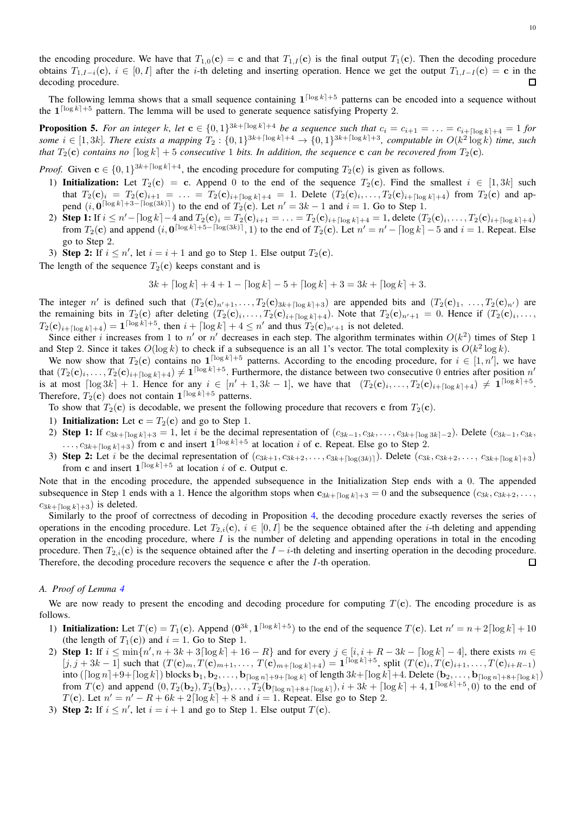the encoding procedure. We have that  $T_{1,0}(c) = c$  and that  $T_{1,1}(c)$  is the final output  $T_1(c)$ . Then the decoding procedure obtains  $T_{1,I-i}(\mathbf{c}), i \in [0,I]$  after the i-th deleting and inserting operation. Hence we get the output  $T_{1,I-I}(\mathbf{c}) = \mathbf{c}$  in the decoding procedure.  $\Box$ 

The following lemma shows that a small sequence containing  $1^{\lceil \log k \rceil + 5}$  patterns can be encoded into a sequence without the  $1^{\lceil \log k \rceil + 5}$  pattern. The lemma will be used to generate sequence satisfying Property 2.

<span id="page-9-1"></span>**Proposition 5.** For an integer k, let  $c \in \{0,1\}^{3k + \lceil \log k \rceil + 4}$  be a sequence such that  $c_i = c_{i+1} = \ldots = c_{i+\lceil \log k \rceil + 4} = 1$  for some  $i \in [1,3k]$ . There exists a mapping  $T_2: \{0,1\}^{3k + \lceil \log k \rceil + 4} \to \{0,1\}^{3k + \lceil \log k \rceil + 3}$ , computable in  $O(k^2 \log k)$  time, such *that*  $T_2(c)$  *contains no*  $\lceil \log k \rceil + 5$  *consecutive* 1 *bits. In addition, the sequence* **c** *can be recovered from*  $T_2(c)$ *.* 

*Proof.* Given  $c \in \{0, 1\}^{3k + \lceil \log k \rceil + 4}$ , the encoding procedure for computing  $T_2(c)$  is given as follows.

- 1) Initialization: Let  $T_2(c) = c$ . Append 0 to the end of the sequence  $T_2(c)$ . Find the smallest  $i \in [1, 3k]$  such that  $T_2(c)_i = T_2(c)_{i+1} = \ldots = T_2(c)_{i+\lceil \log k \rceil+4} = 1$ . Delete  $(T_2(c)_i, \ldots, T_2(c)_{i+\lceil \log k \rceil+4})$  from  $T_2(c)$  and append  $(i, 0^{\lceil \log k \rceil + 3 - \lceil \log(3k) \rceil})$  to the end of  $T_2(\mathbf{c})$ . Let  $n' = 3k - 1$  and  $i = 1$ . Go to Step 1.
- 2) Step 1: If  $i \leq n' \lceil \log k \rceil 4$  and  $T_2(\mathbf{c})_i = T_2(\mathbf{c})_{i+1} = \ldots = T_2(\mathbf{c})_{i+\lceil \log k \rceil + 4} = 1$ , delete  $(T_2(\mathbf{c})_i, \ldots, T_2(\mathbf{c})_{i+\lceil \log k \rceil + 4})$ from  $T_2(c)$  and append  $(i, 0^{\lceil \log k \rceil + 5 - \lceil \log(3k) \rceil}, 1)$  to the end of  $T_2(c)$ . Let  $n' = n' - \lceil \log k \rceil - 5$  and  $i = 1$ . Repeat. Else go to Step 2.
- 3) Step 2: If  $i \leq n'$ , let  $i = i + 1$  and go to Step 1. Else output  $T_2(c)$ .
- The length of the sequence  $T_2(c)$  keeps constant and is

$$
3k + \lceil \log k \rceil + 4 + 1 - \lceil \log k \rceil - 5 + \lceil \log k \rceil + 3 = 3k + \lceil \log k \rceil + 3.
$$

The integer n' is defined such that  $(T_2(\mathbf{c})_{n'+1},...,T_2(\mathbf{c})_{3k+\lceil \log k\rceil+3})$  are appended bits and  $(T_2(\mathbf{c})_1, ..., T_2(\mathbf{c})_{n'} )$  are the remaining bits in  $T_2(c)$  after deleting  $(T_2(c)_i, \ldots, T_2(c)_{i+\lceil \log k \rceil+4})$ . Note that  $T_2(c)_{n'+1} = 0$ . Hence if  $(T_2(c)_i, \ldots, T_k(c))$  $T_2(\mathbf{c})_{i+\lceil \log k \rceil+4} = \mathbf{1}^{\lceil \log k \rceil+5}$ , then  $i + \lceil \log k \rceil + 4 \leq n'$  and thus  $T_2(\mathbf{c})_{n'+1}$  is not deleted.

Since either i increases from 1 to n' or n' decreases in each step. The algorithm terminates within  $O(k^2)$  times of Step 1 and Step 2. Since it takes  $O(\log k)$  to check if a subsequence is an all 1's vector. The total complexity is  $O(k^2 \log k)$ .

We now show that  $T_2(c)$  contains no  $1^{\lceil \log k \rceil + 5}$  patterns. According to the encoding procedure, for  $i \in [1, n']$ , we have that  $(T_2(c)_i, \ldots, T_2(c)_{i+\lceil \log k \rceil+4}) \neq 1^{\lceil \log k \rceil+5}$ . Furthermore, the distance between two consecutive 0 entries after position  $n'$ is at most  $\lceil \log 3k \rceil + 1$ . Hence for any  $i \in [n'+1, 3k-1]$ , we have that  $(T_2(\mathbf{c})_i, \ldots, T_2(\mathbf{c})_{i+\lceil \log k \rceil+4}) \neq \mathbf{1}^{\lceil \log k \rceil+5}$ . Therefore,  $T_2(c)$  does not contain  $1^{\lceil \log k \rceil + 5}$  patterns.

To show that  $T_2(c)$  is decodable, we present the following procedure that recovers c from  $T_2(c)$ .

- 1) Initialization: Let  $\mathbf{c} = T_2(\mathbf{c})$  and go to Step 1.
- 2) Step 1: If  $c_{3k+\lceil \log k \rceil+3} = 1$ , let i be the decimal representation of  $(c_{3k-1}, c_{3k}, \ldots, c_{3k+\lceil \log 3k \rceil-2})$ . Delete  $(c_{3k-1}, c_{3k}, \ldots, c_{3k+\lceil \log 3k \rceil})$  $\ldots$ ,  $c_{3k+\lceil \log k \rceil+3}$ ) from c and insert  $1^{\lceil \log k \rceil+5}$  at location i of c. Repeat. Else go to Step 2.
- 3) Step 2: Let i be the decimal representation of  $(c_{3k+1}, c_{3k+2}, \ldots, c_{3k+[\log(3k)]})$ . Delete  $(c_{3k}, c_{3k+2}, \ldots, c_{3k+[\log k]+3})$ from c and insert  $1^{\lceil \log k \rceil + 5}$  at location i of c. Output c.

Note that in the encoding procedure, the appended subsequence in the Initialization Step ends with a 0. The appended subsequence in Step 1 ends with a 1. Hence the algorithm stops when  $c_{3k+[log k]+3} = 0$  and the subsequence  $(c_{3k}, c_{3k+2}, \ldots, c_{3k+2})$  $c_{3k+\lceil \log k \rceil+3}$  is deleted.

Similarly to the proof of correctness of decoding in Proposition [4,](#page-8-0) the decoding procedure exactly reverses the series of operations in the encoding procedure. Let  $T_{2,i}(\mathbf{c}), i \in [0, I]$  be the sequence obtained after the *i*-th deleting and appending operation in the encoding procedure, where  $I$  is the number of deleting and appending operations in total in the encoding procedure. Then  $T_{2,i}(c)$  is the sequence obtained after the  $I - i$ -th deleting and inserting operation in the decoding procedure. Therefore, the decoding procedure recovers the sequence c after the  $I$ -th operation.  $\Box$ 

#### <span id="page-9-0"></span>*A. Proof of Lemma [4](#page-2-5)*

We are now ready to present the encoding and decoding procedure for computing  $T(c)$ . The encoding procedure is as follows.

- 1) Initialization: Let  $T(c) = T_1(c)$ . Append  $(0^{3k}, 1^{\lceil \log k \rceil + 5})$  to the end of the sequence  $T(c)$ . Let  $n' = n + 2\lceil \log k \rceil + 10$ (the length of  $T_1(c)$ ) and  $i = 1$ . Go to Step 1.
- 2) Step 1: If  $i \le \min\{n', n + 3k + 3\lceil \log k \rceil + 16 R\}$  and for every  $j \in [i, i + R 3k \lceil \log k \rceil 4]$ , there exists  $m \in \mathbb{R}$  $[j, j + 3k - 1]$  such that  $(T(\mathbf{c})_m, T(\mathbf{c})_{m+1}, \ldots, T(\mathbf{c})_{m+[log k]+4}) = \mathbf{1}^{\lceil \log k \rceil + 5}$ , split  $(T(\mathbf{c})_i, T(\mathbf{c})_{i+1}, \ldots, T(\mathbf{c})_{i+R-1})$ into ( $\lceil \log n \rceil + 9 + \lceil \log k \rceil$ ) blocks  $\mathbf{b}_1, \mathbf{b}_2, \ldots, \mathbf{b}_{\lceil \log n \rceil + 9 + \lceil \log k \rceil}$  of length  $3k + \lceil \log k \rceil + 4$ . Delete  $(\mathbf{b}_2, \ldots, \mathbf{b}_{\lceil \log n \rceil + 8 + \lceil \log k \rceil})$ from  $T(c)$  and append  $(0, T_2(b_2), T_2(b_3), \ldots, T_2(b_{\lceil \log n \rceil + 8 + \lceil \log k \rceil}), i + 3k + \lceil \log k \rceil + 4, 1^{\lceil \log k \rceil + 5}, 0)$  to the end of  $T(c)$ . Let  $n' = n' - R + 6k + 2 \lceil \log k \rceil + 8$  and  $i = 1$ . Repeat. Else go to Step 2.
- 3) Step 2: If  $i \leq n'$ , let  $i = i + 1$  and go to Step 1. Else output  $T(c)$ .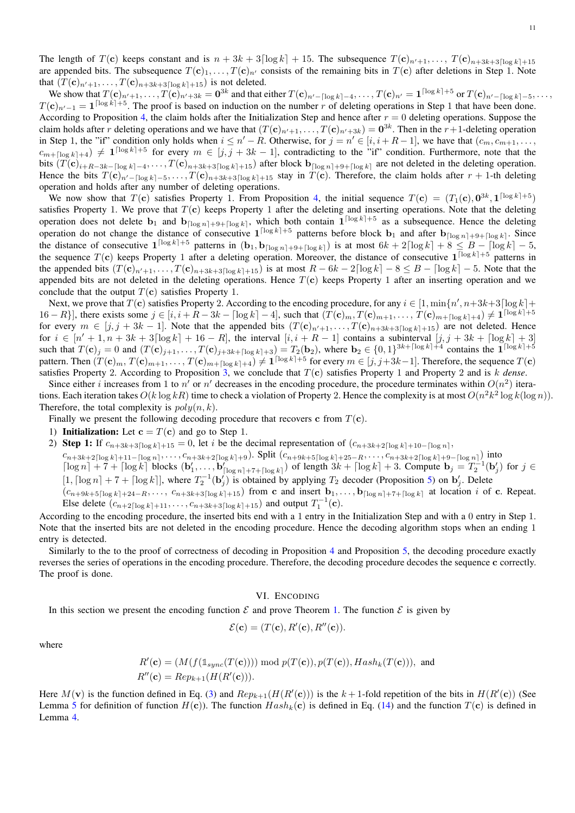The length of  $T(c)$  keeps constant and is  $n + 3k + 3\lceil \log k \rceil + 15$ . The subsequence  $T(c)_{n'+1}, \ldots, T(c)_{n+3k+3\lceil \log k \rceil+15}$ are appended bits. The subsequence  $T(c)_1, \ldots, T(c)_{n'}$  consists of the remaining bits in  $T(c)$  after deletions in Step 1. Note that  $(T(\mathbf{c})_{n'+1}, \ldots, T(\mathbf{c})_{n+3k+3\lceil \log k \rceil+15})$  is not deleted.

We show that  $T(\mathbf{c})_{n'+1}, \ldots, T(\mathbf{c})_{n'+3k} = \mathbf{0}^{3k}$  and that either  $T(\mathbf{c})_{n'-\lceil \log k \rceil-4}, \ldots, T(\mathbf{c})_{n'} = \mathbf{1}^{\lceil \log k \rceil + 5}$  or  $T(\mathbf{c})_{n'-\lceil \log k \rceil-5}, \ldots, T(\mathbf{c})_{n'}.$  $T(\mathbf{c})_{n'-1} = \mathbf{1}^{\lceil \log k \rceil + 5}$ . The proof is based on induction on the number r of deleting operations in Step 1 that have been done. According to Proposition [4,](#page-8-0) the claim holds after the Initialization Step and hence after  $r = 0$  deleting operations. Suppose the claim holds after r deleting operations and we have that  $(T(\mathbf{c})_{n'+1},...,T(\mathbf{c})_{n'+3k}) = \mathbf{0}^{3k}$ . Then in the r+1-deleting operation in Step 1, the "if" condition only holds when  $i \leq n' - R$ . Otherwise, for  $j = n' \in [i, i + R - 1]$ , we have that  $(c_m, c_{m+1}, \ldots, c_m)$  $c_{m+\lceil \log k \rceil+4}) \neq 1^{\lceil \log k \rceil+5}$  for every  $m \in [j, j + 3k - 1]$ , contradicting to the "if" condition. Furthermore, note that the bits  $(T(\mathbf{c})_{i+R-3k-[log k]-4}, \ldots, T(\mathbf{c})_{n+3k+3\lceil \log k \rceil+15})$  after block  $\mathbf{b}_{\lceil \log n \rceil+9+\lceil \log k \rceil}$  are not deleted in the deleting operation. Hence the bits  $T(\mathbf{c})_{n'-\lceil \log k \rceil-5}, \ldots, T(\mathbf{c})_{n+3k+3\lceil \log k \rceil+15}$  stay in  $T(\mathbf{c})$ . Therefore, the claim holds after  $r+1$ -th deleting operation and holds after any number of deleting operations.

We now show that  $T(c)$  satisfies Property 1. From Proposition [4,](#page-8-0) the initial sequence  $T(c) = (T_1(c), 0^{3k}, 1^{\lceil \log k \rceil + 5})$ satisfies Property 1. We prove that  $T(c)$  keeps Property 1 after the deleting and inserting operations. Note that the deleting operation does not delete  $b_1$  and  $b_{\lceil \log n \rceil + 9 + \lceil \log k \rceil}$ , which both contain  $1^{\lceil \log k \rceil + 5}$  as a subsequence. Hence the deleting operation do not change the distance of consecutive  $1^{\lceil \log k \rceil + 5}$  patterns before block  $b_1$  and after  $b_{\lceil \log n \rceil + 9 + \lceil \log k \rceil}$ . Since the distance of consecutive  $1^{\lceil \log k \rceil + 5}$  patterns in  $(b_1, b_{\lceil \log n \rceil + 9 + \lceil \log k \rceil})$  is at most  $6k + 2\lceil \log k \rceil + 8 \leq B - \lceil \log k \rceil - 5$ , the sequence  $T(c)$  keeps Property 1 after a deleting operation. Moreover, the distance of consecutive  $1^{\lceil \log k \rceil + 5}$  patterns in the appended bits  $(T(\mathbf{c})_{n'+1}, \ldots, T(\mathbf{c})_{n+3k+3\lceil \log k \rceil+15})$  is at most  $R - 6k - 2\lceil \log k \rceil - 8 \leq B - \lceil \log k \rceil - 5$ . Note that the appended bits are not deleted in the deleting operations. Hence  $T(c)$  keeps Property 1 after an inserting operation and we conclude that the output  $T(c)$  satisfies Property 1.

Next, we prove that  $T(c)$  satisfies Property 2. According to the encoding procedure, for any  $i \in [1, \min\{n', n+3k+3\lceil\log k\rceil + 1\}$ 16 – R}], there exists some  $j \in [i, i + R - 3k - \lceil \log k \rceil - 4]$ , such that  $(T(\mathbf{c})_m, T(\mathbf{c})_{m+1}, \ldots, T(\mathbf{c})_{m+\lceil \log k \rceil + 4}) \neq \mathbf{1}^{\lceil \log k \rceil + 5}$ for every  $m \in [j, j + 3k - 1]$ . Note that the appended bits  $(T(\mathbf{c})_{n'+1}, \ldots, T(\mathbf{c})_{n+3k+3\lceil \log k \rceil+15})$  are not deleted. Hence for  $i \in [n'+1, n+3k+3\lceil \log k \rceil + 16 - R]$ , the interval  $[i, i + R - 1]$  contains a subinterval  $[j, j+3k+ \lceil \log k \rceil + 3]$ such that  $T(\mathbf{c})_j = 0$  and  $(T(\mathbf{c})_{j+1}, \dots, T(\mathbf{c})_{j+3k+\lceil \log k \rceil+3}) = T_2(\mathbf{b}_2)$ , where  $\mathbf{b}_2 \in \{0,1\}^{3k+\lceil \log k \rceil+4}$  contains the  $\mathbf{1}^{\lceil \log k \rceil+5}$ pattern. Then  $(T(\mathbf{c})_m, T(\mathbf{c})_{m+1}, \ldots, T(\mathbf{c})_{m+[{\log}k]+4}) \neq \mathbf{1}^{{\lceil \log k \rceil}+5}$  for every  $m \in [j,j+3k-1]$ . Therefore, the sequence  $T(\mathbf{c})$ satisfies Property 2. According to Proposition  $3$ , we conclude that  $T(c)$  satisfies Property 1 and Property 2 and is k *dense*.

Since either *i* increases from 1 to n' or n' decreases in the encoding procedure, the procedure terminates within  $O(n^2)$  iterations. Each iteration takes  $O(k \log kR)$  time to check a violation of Property 2. Hence the complexity is at most  $O(n^2k^2 \log k(\log n))$ . Therefore, the total complexity is  $poly(n, k)$ .

Finally we present the following decoding procedure that recovers c from  $T(c)$ .

- 1) Initialization: Let  $c = T(c)$  and go to Step 1.
- 2) Step 1: If  $c_{n+3k+3\lceil \log k \rceil+15} = 0$ , let i be the decimal representation of  $(c_{n+3k+2\lceil \log k \rceil+10-\lceil \log n \rceil}$ ,

 $c_{n+3k+2\lceil \log k \rceil+11-\lceil \log n \rceil}, \ldots, c_{n+3k+2\lceil \log k \rceil+9}$ . Split  $(c_{n+9k+5\lceil \log k \rceil+25-R}, \ldots, c_{n+3k+2\lceil \log k \rceil+9-\lceil \log n \rceil})$  into  $\lceil \log n \rceil + 7 + \lceil \log k \rceil$  blocks  $(\mathbf{b}'_1, \ldots, \mathbf{b}'_{\lceil \log n \rceil + 7 + \lceil \log k \rceil})$  of length  $3k + \lceil \log k \rceil + 3$ . Compute  $\mathbf{b}_j = T_2^{-1}(\mathbf{b}'_j)$  for  $j \in$  $[1, \lceil \log n \rceil + 7 + \lceil \log k \rceil]$ , where  $T_2^{-1}(\mathbf{b}'_j)$  is obtained by applying  $T_2$  decoder (Proposition [5\)](#page-9-1) on  $\mathbf{b}'_j$ . Delete  $(c_{n+9k+5\lceil \log k \rceil+24-R}, \ldots, c_{n+3k+3\lceil \log k \rceil+15})$  from c and insert  $\mathbf{b}_1, \ldots, \mathbf{b}_{\lceil \log n \rceil+7+\lceil \log k \rceil}$  at location i of c. Repeat. Else delete  $(c_{n+2\lceil \log k \rceil+11}, \ldots, c_{n+3k+3\lceil \log k \rceil+15})$  and output  $T_1^{-1}(\mathbf{c})$ .

According to the encoding procedure, the inserted bits end with a 1 entry in the Initialization Step and with a 0 entry in Step 1. Note that the inserted bits are not deleted in the encoding procedure. Hence the decoding algorithm stops when an ending 1 entry is detected.

Similarly to the to the proof of correctness of decoding in Proposition [4](#page-8-0) and Proposition [5,](#page-9-1) the decoding procedure exactly reverses the series of operations in the encoding procedure. Therefore, the decoding procedure decodes the sequence c correctly. The proof is done.

# VI. ENCODING

<span id="page-10-0"></span>In this section we present the encoding function  $\mathcal E$  and prove Theorem [1.](#page-0-1) The function  $\mathcal E$  is given by

$$
\mathcal{E}(\mathbf{c}) = (T(\mathbf{c}), R'(\mathbf{c}), R''(\mathbf{c})).
$$

where

$$
R'(\mathbf{c}) = (M(f(\mathbf{1}_{sync}(T(\mathbf{c})))) \bmod p(T(\mathbf{c})), p(T(\mathbf{c})), Hash_k(T(\mathbf{c}))), \text{ and } R''(\mathbf{c}) = Rep_{k+1}(H(R'(\mathbf{c}))).
$$

Here  $M(\mathbf{v})$  is the function defined in Eq. [\(3\)](#page-1-3) and  $Rep_{k+1}(H(R'(\mathbf{c})))$  is the  $k+1$ -fold repetition of the bits in  $H(R'(\mathbf{c}))$  (See Lemma [5](#page-2-2) for definition of function  $H(c)$ ). The function  $Hash_k(c)$  is defined in Eq. [\(14\)](#page-6-5) and the function  $T(c)$  is defined in Lemma [4.](#page-2-5)